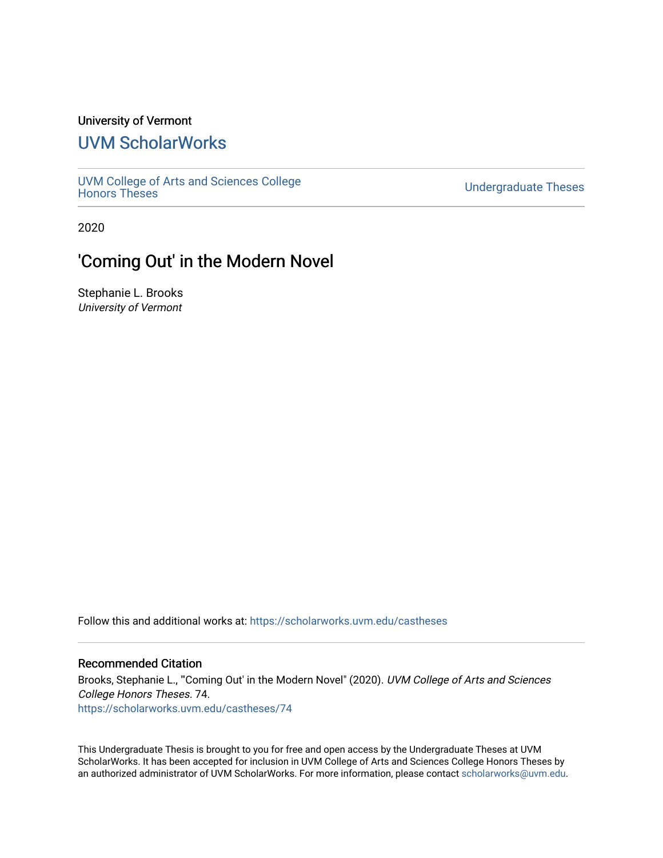# University of Vermont

# [UVM ScholarWorks](https://scholarworks.uvm.edu/)

[UVM College of Arts and Sciences College](https://scholarworks.uvm.edu/castheses)

**Undergraduate Theses** 

2020

# 'Coming Out' in the Modern Novel

Stephanie L. Brooks University of Vermont

Follow this and additional works at: [https://scholarworks.uvm.edu/castheses](https://scholarworks.uvm.edu/castheses?utm_source=scholarworks.uvm.edu%2Fcastheses%2F74&utm_medium=PDF&utm_campaign=PDFCoverPages)

#### Recommended Citation

Brooks, Stephanie L., "Coming Out' in the Modern Novel" (2020). UVM College of Arts and Sciences College Honors Theses. 74. [https://scholarworks.uvm.edu/castheses/74](https://scholarworks.uvm.edu/castheses/74?utm_source=scholarworks.uvm.edu%2Fcastheses%2F74&utm_medium=PDF&utm_campaign=PDFCoverPages) 

This Undergraduate Thesis is brought to you for free and open access by the Undergraduate Theses at UVM ScholarWorks. It has been accepted for inclusion in UVM College of Arts and Sciences College Honors Theses by an authorized administrator of UVM ScholarWorks. For more information, please contact [scholarworks@uvm.edu.](mailto:scholarworks@uvm.edu)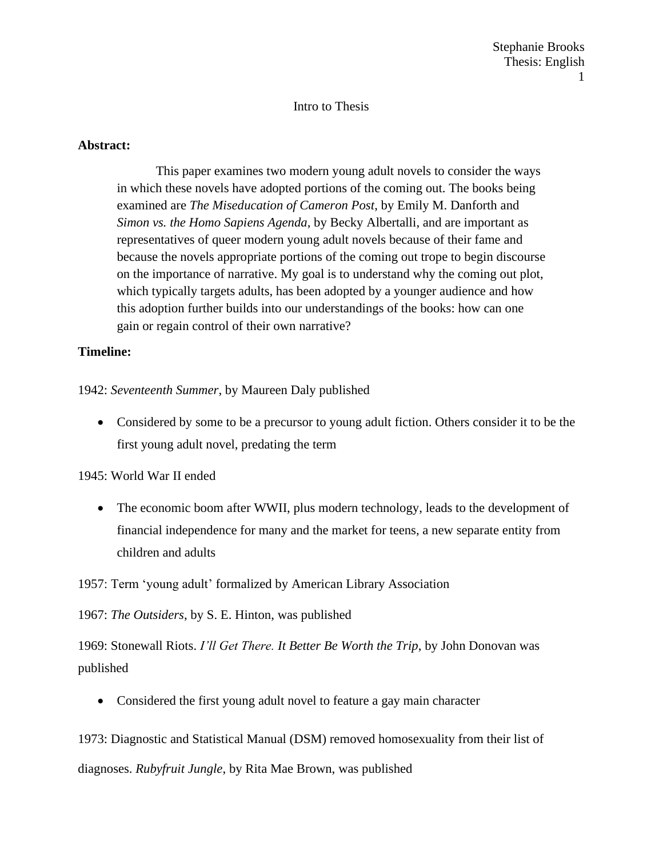# Intro to Thesis

# **Abstract:**

This paper examines two modern young adult novels to consider the ways in which these novels have adopted portions of the coming out. The books being examined are *The Miseducation of Cameron Post*, by Emily M. Danforth and *Simon vs. the Homo Sapiens Agenda*, by Becky Albertalli, and are important as representatives of queer modern young adult novels because of their fame and because the novels appropriate portions of the coming out trope to begin discourse on the importance of narrative. My goal is to understand why the coming out plot, which typically targets adults, has been adopted by a younger audience and how this adoption further builds into our understandings of the books: how can one gain or regain control of their own narrative?

# **Timeline:**

1942: *Seventeenth Summer*, by Maureen Daly published

• Considered by some to be a precursor to young adult fiction. Others consider it to be the first young adult novel, predating the term

1945: World War II ended

• The economic boom after WWII, plus modern technology, leads to the development of financial independence for many and the market for teens, a new separate entity from children and adults

1957: Term 'young adult' formalized by American Library Association

1967: *The Outsiders*, by S. E. Hinton, was published

1969: Stonewall Riots. *I'll Get There. It Better Be Worth the Trip*, by John Donovan was published

• Considered the first young adult novel to feature a gay main character

1973: Diagnostic and Statistical Manual (DSM) removed homosexuality from their list of diagnoses. *Rubyfruit Jungle*, by Rita Mae Brown, was published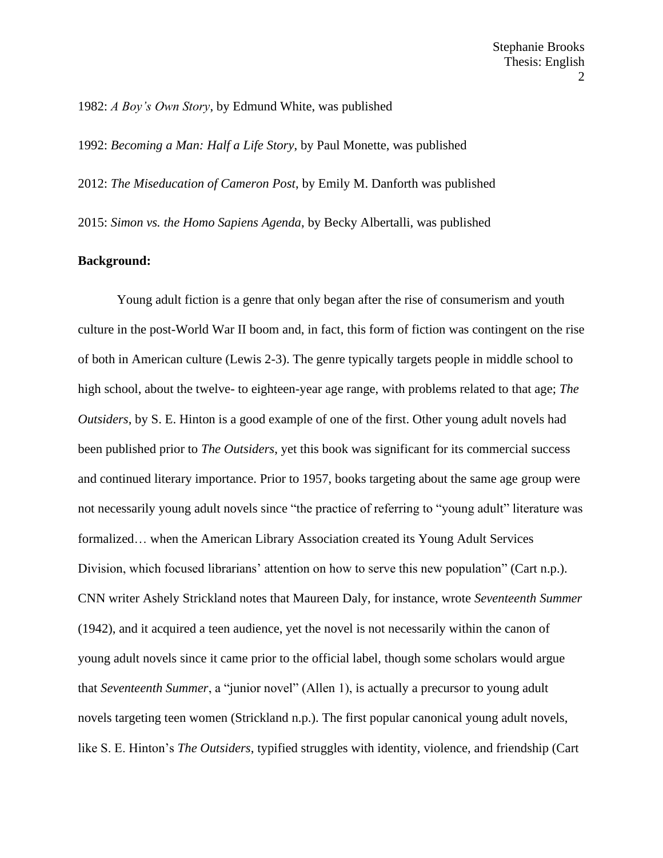1982: *A Boy's Own Story*, by Edmund White, was published

1992: *Becoming a Man: Half a Life Story*, by Paul Monette, was published

2012: *The Miseducation of Cameron Post*, by Emily M. Danforth was published

2015: *Simon vs. the Homo Sapiens Agenda*, by Becky Albertalli, was published

#### **Background:**

Young adult fiction is a genre that only began after the rise of consumerism and youth culture in the post-World War II boom and, in fact, this form of fiction was contingent on the rise of both in American culture (Lewis 2-3). The genre typically targets people in middle school to high school, about the twelve- to eighteen-year age range, with problems related to that age; *The Outsiders*, by S. E. Hinton is a good example of one of the first. Other young adult novels had been published prior to *The Outsiders*, yet this book was significant for its commercial success and continued literary importance. Prior to 1957, books targeting about the same age group were not necessarily young adult novels since "the practice of referring to "young adult" literature was formalized… when the American Library Association created its Young Adult Services Division, which focused librarians' attention on how to serve this new population" (Cart n.p.). CNN writer Ashely Strickland notes that Maureen Daly, for instance, wrote *Seventeenth Summer* (1942), and it acquired a teen audience, yet the novel is not necessarily within the canon of young adult novels since it came prior to the official label, though some scholars would argue that *Seventeenth Summer*, a "junior novel" (Allen 1), is actually a precursor to young adult novels targeting teen women (Strickland n.p.). The first popular canonical young adult novels, like S. E. Hinton's *The Outsiders*, typified struggles with identity, violence, and friendship (Cart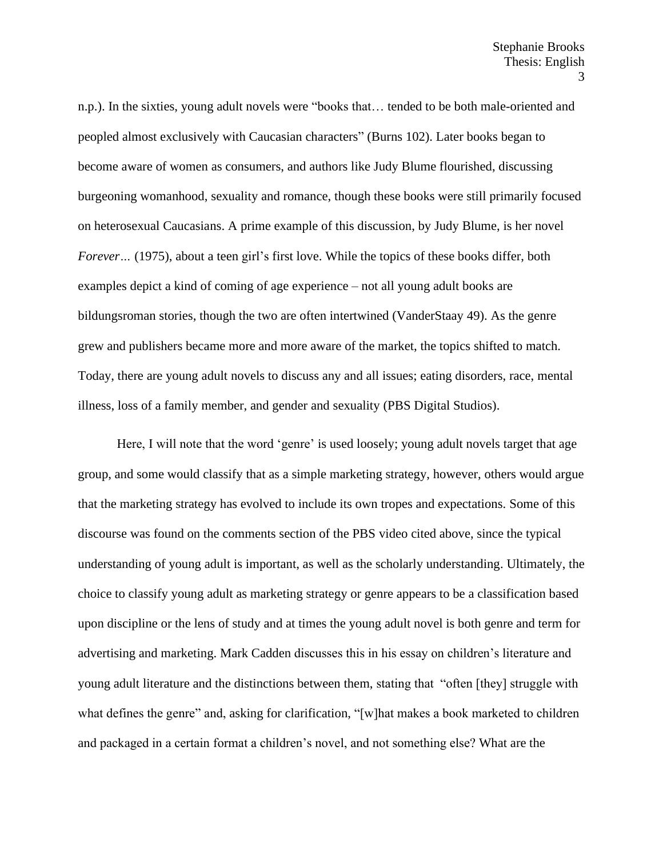n.p.). In the sixties, young adult novels were "books that… tended to be both male-oriented and peopled almost exclusively with Caucasian characters" (Burns 102). Later books began to become aware of women as consumers, and authors like Judy Blume flourished, discussing burgeoning womanhood, sexuality and romance, though these books were still primarily focused on heterosexual Caucasians. A prime example of this discussion, by Judy Blume, is her novel *Forever...* (1975), about a teen girl's first love. While the topics of these books differ, both examples depict a kind of coming of age experience – not all young adult books are bildungsroman stories, though the two are often intertwined (VanderStaay 49). As the genre grew and publishers became more and more aware of the market, the topics shifted to match. Today, there are young adult novels to discuss any and all issues; eating disorders, race, mental illness, loss of a family member, and gender and sexuality (PBS Digital Studios).

Here, I will note that the word 'genre' is used loosely; young adult novels target that age group, and some would classify that as a simple marketing strategy, however, others would argue that the marketing strategy has evolved to include its own tropes and expectations. Some of this discourse was found on the comments section of the PBS video cited above, since the typical understanding of young adult is important, as well as the scholarly understanding. Ultimately, the choice to classify young adult as marketing strategy or genre appears to be a classification based upon discipline or the lens of study and at times the young adult novel is both genre and term for advertising and marketing. Mark Cadden discusses this in his essay on children's literature and young adult literature and the distinctions between them, stating that "often [they] struggle with what defines the genre" and, asking for clarification, "[w]hat makes a book marketed to children and packaged in a certain format a children's novel, and not something else? What are the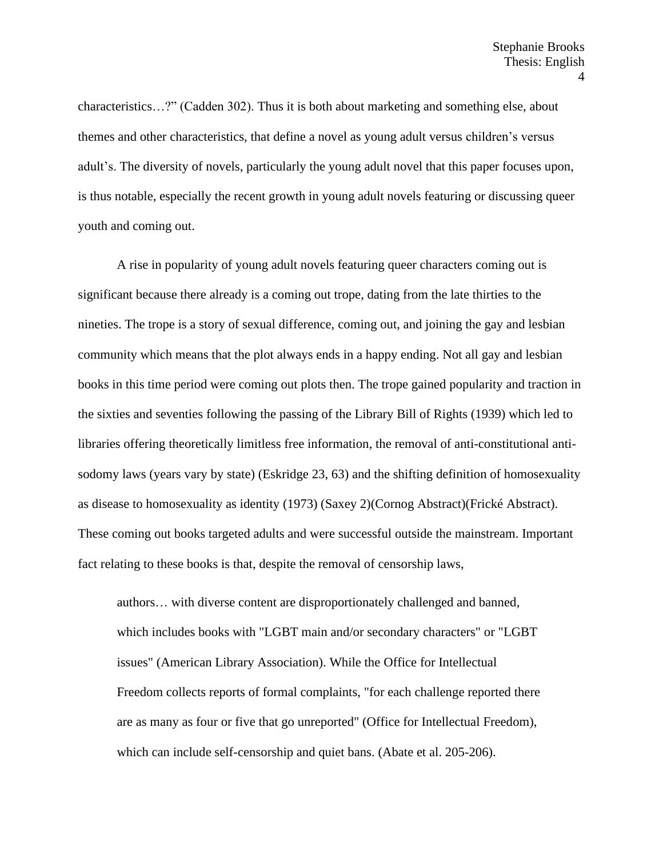characteristics…?" (Cadden 302). Thus it is both about marketing and something else, about themes and other characteristics, that define a novel as young adult versus children's versus adult's. The diversity of novels, particularly the young adult novel that this paper focuses upon, is thus notable, especially the recent growth in young adult novels featuring or discussing queer youth and coming out.

A rise in popularity of young adult novels featuring queer characters coming out is significant because there already is a coming out trope, dating from the late thirties to the nineties. The trope is a story of sexual difference, coming out, and joining the gay and lesbian community which means that the plot always ends in a happy ending. Not all gay and lesbian books in this time period were coming out plots then. The trope gained popularity and traction in the sixties and seventies following the passing of the Library Bill of Rights (1939) which led to libraries offering theoretically limitless free information, the removal of anti-constitutional antisodomy laws (years vary by state) (Eskridge 23, 63) and the shifting definition of homosexuality as disease to homosexuality as identity (1973) (Saxey 2)(Cornog Abstract)(Frické Abstract). These coming out books targeted adults and were successful outside the mainstream. Important fact relating to these books is that, despite the removal of censorship laws,

authors… with diverse content are disproportionately challenged and banned, which includes books with "LGBT main and/or secondary characters" or "LGBT issues" (American Library Association). While the Office for Intellectual Freedom collects reports of formal complaints, "for each challenge reported there are as many as four or five that go unreported" (Office for Intellectual Freedom), which can include self-censorship and quiet bans. (Abate et al. 205-206).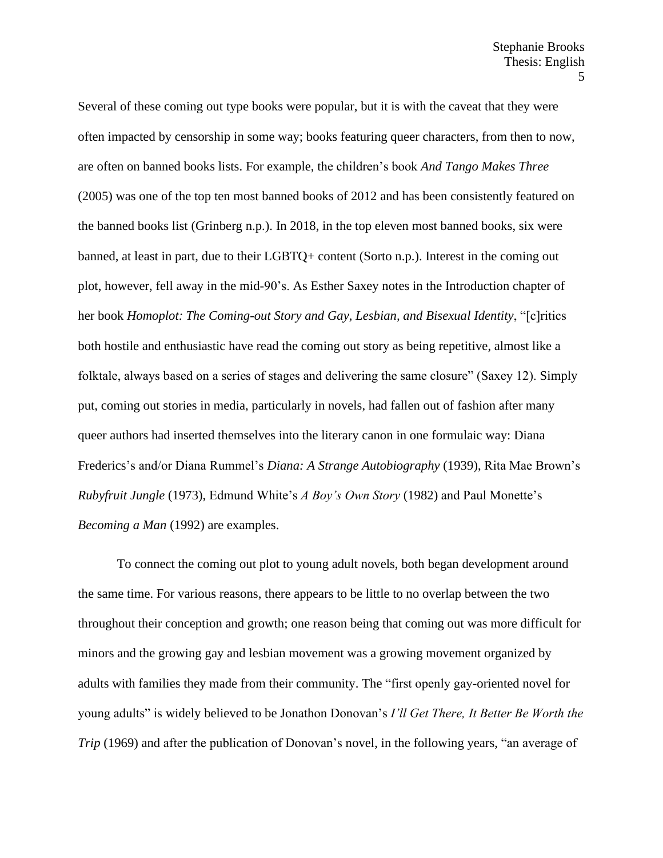Several of these coming out type books were popular, but it is with the caveat that they were often impacted by censorship in some way; books featuring queer characters, from then to now, are often on banned books lists. For example, the children's book *And Tango Makes Three*  (2005) was one of the top ten most banned books of 2012 and has been consistently featured on the banned books list (Grinberg n.p.). In 2018, in the top eleven most banned books, six were banned, at least in part, due to their LGBTQ+ content (Sorto n.p.). Interest in the coming out plot, however, fell away in the mid-90's. As Esther Saxey notes in the Introduction chapter of her book *Homoplot: The Coming-out Story and Gay, Lesbian, and Bisexual Identity*, "[c]ritics both hostile and enthusiastic have read the coming out story as being repetitive, almost like a folktale, always based on a series of stages and delivering the same closure" (Saxey 12). Simply put, coming out stories in media, particularly in novels, had fallen out of fashion after many queer authors had inserted themselves into the literary canon in one formulaic way: Diana Frederics's and/or Diana Rummel's *Diana: A Strange Autobiography* (1939), Rita Mae Brown's *Rubyfruit Jungle* (1973), Edmund White's *A Boy's Own Story* (1982) and Paul Monette's *Becoming a Man* (1992) are examples.

To connect the coming out plot to young adult novels, both began development around the same time. For various reasons, there appears to be little to no overlap between the two throughout their conception and growth; one reason being that coming out was more difficult for minors and the growing gay and lesbian movement was a growing movement organized by adults with families they made from their community. The "first openly gay-oriented novel for young adults" is widely believed to be Jonathon Donovan's *I'll Get There, It Better Be Worth the Trip* (1969) and after the publication of Donovan's novel, in the following years, "an average of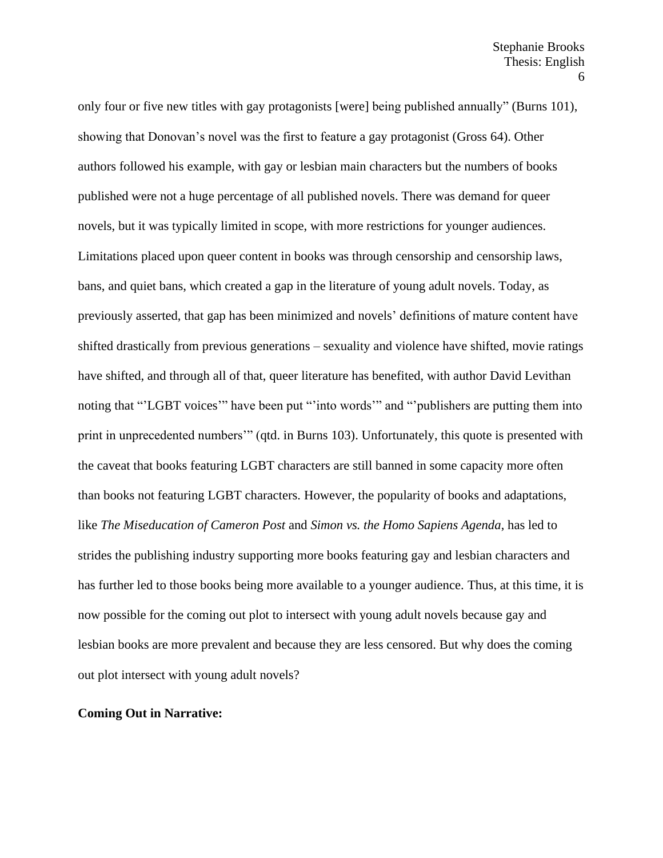only four or five new titles with gay protagonists [were] being published annually" (Burns 101), showing that Donovan's novel was the first to feature a gay protagonist (Gross 64). Other authors followed his example, with gay or lesbian main characters but the numbers of books published were not a huge percentage of all published novels. There was demand for queer novels, but it was typically limited in scope, with more restrictions for younger audiences. Limitations placed upon queer content in books was through censorship and censorship laws, bans, and quiet bans, which created a gap in the literature of young adult novels. Today, as previously asserted, that gap has been minimized and novels' definitions of mature content have shifted drastically from previous generations – sexuality and violence have shifted, movie ratings have shifted, and through all of that, queer literature has benefited, with author David Levithan noting that "'LGBT voices'" have been put "'into words'" and "'publishers are putting them into print in unprecedented numbers'" (qtd. in Burns 103). Unfortunately, this quote is presented with the caveat that books featuring LGBT characters are still banned in some capacity more often than books not featuring LGBT characters. However, the popularity of books and adaptations, like *The Miseducation of Cameron Post* and *Simon vs. the Homo Sapiens Agenda*, has led to strides the publishing industry supporting more books featuring gay and lesbian characters and has further led to those books being more available to a younger audience. Thus, at this time, it is now possible for the coming out plot to intersect with young adult novels because gay and lesbian books are more prevalent and because they are less censored. But why does the coming out plot intersect with young adult novels?

#### **Coming Out in Narrative:**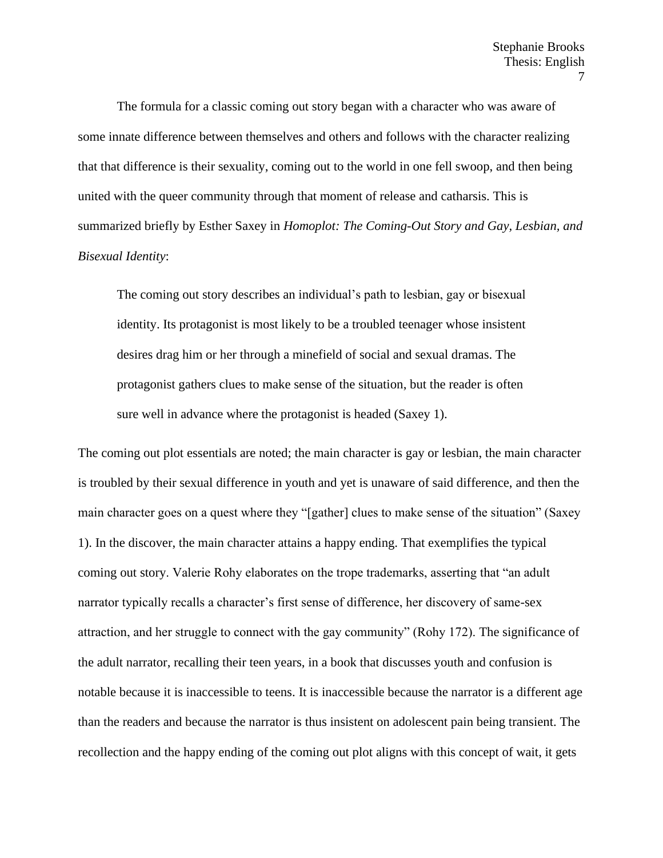The formula for a classic coming out story began with a character who was aware of some innate difference between themselves and others and follows with the character realizing that that difference is their sexuality, coming out to the world in one fell swoop, and then being united with the queer community through that moment of release and catharsis. This is summarized briefly by Esther Saxey in *Homoplot: The Coming-Out Story and Gay, Lesbian, and Bisexual Identity*:

The coming out story describes an individual's path to lesbian, gay or bisexual identity. Its protagonist is most likely to be a troubled teenager whose insistent desires drag him or her through a minefield of social and sexual dramas. The protagonist gathers clues to make sense of the situation, but the reader is often sure well in advance where the protagonist is headed (Saxey 1).

The coming out plot essentials are noted; the main character is gay or lesbian, the main character is troubled by their sexual difference in youth and yet is unaware of said difference, and then the main character goes on a quest where they "[gather] clues to make sense of the situation" (Saxey 1). In the discover, the main character attains a happy ending. That exemplifies the typical coming out story. Valerie Rohy elaborates on the trope trademarks, asserting that "an adult narrator typically recalls a character's first sense of difference, her discovery of same-sex attraction, and her struggle to connect with the gay community" (Rohy 172). The significance of the adult narrator, recalling their teen years, in a book that discusses youth and confusion is notable because it is inaccessible to teens. It is inaccessible because the narrator is a different age than the readers and because the narrator is thus insistent on adolescent pain being transient. The recollection and the happy ending of the coming out plot aligns with this concept of wait, it gets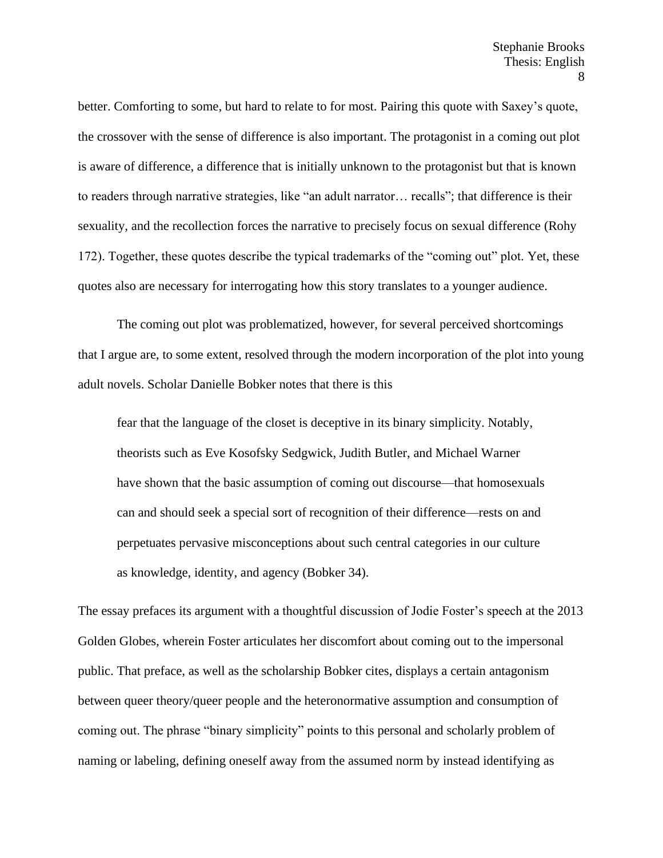better. Comforting to some, but hard to relate to for most. Pairing this quote with Saxey's quote, the crossover with the sense of difference is also important. The protagonist in a coming out plot is aware of difference, a difference that is initially unknown to the protagonist but that is known to readers through narrative strategies, like "an adult narrator… recalls"; that difference is their sexuality, and the recollection forces the narrative to precisely focus on sexual difference (Rohy 172). Together, these quotes describe the typical trademarks of the "coming out" plot. Yet, these quotes also are necessary for interrogating how this story translates to a younger audience.

The coming out plot was problematized, however, for several perceived shortcomings that I argue are, to some extent, resolved through the modern incorporation of the plot into young adult novels. Scholar Danielle Bobker notes that there is this

fear that the language of the closet is deceptive in its binary simplicity. Notably, theorists such as Eve Kosofsky Sedgwick, Judith Butler, and Michael Warner have shown that the basic assumption of coming out discourse—that homosexuals can and should seek a special sort of recognition of their difference—rests on and perpetuates pervasive misconceptions about such central categories in our culture as knowledge, identity, and agency (Bobker 34).

The essay prefaces its argument with a thoughtful discussion of Jodie Foster's speech at the 2013 Golden Globes, wherein Foster articulates her discomfort about coming out to the impersonal public. That preface, as well as the scholarship Bobker cites, displays a certain antagonism between queer theory/queer people and the heteronormative assumption and consumption of coming out. The phrase "binary simplicity" points to this personal and scholarly problem of naming or labeling, defining oneself away from the assumed norm by instead identifying as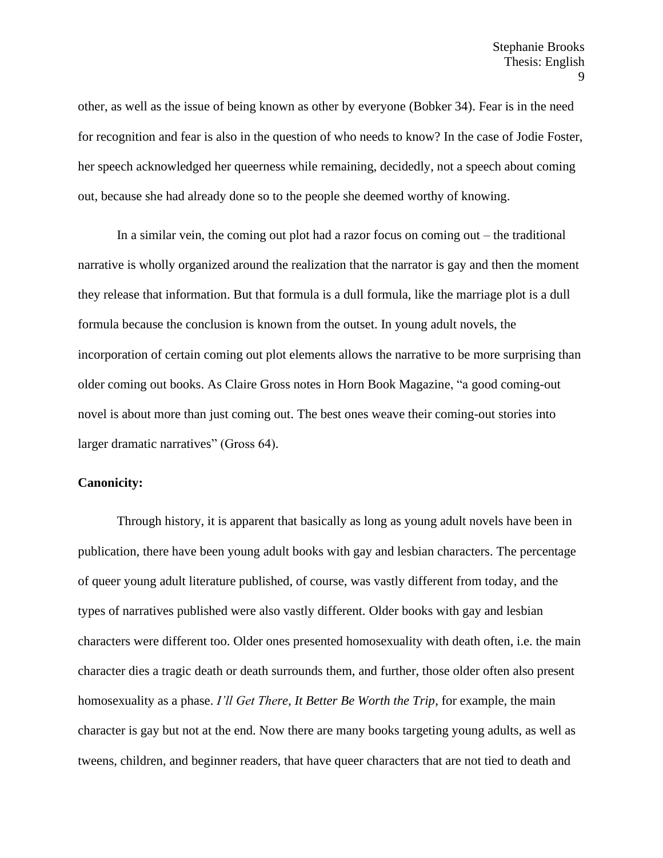other, as well as the issue of being known as other by everyone (Bobker 34). Fear is in the need for recognition and fear is also in the question of who needs to know? In the case of Jodie Foster, her speech acknowledged her queerness while remaining, decidedly, not a speech about coming out, because she had already done so to the people she deemed worthy of knowing.

In a similar vein, the coming out plot had a razor focus on coming out – the traditional narrative is wholly organized around the realization that the narrator is gay and then the moment they release that information. But that formula is a dull formula, like the marriage plot is a dull formula because the conclusion is known from the outset. In young adult novels, the incorporation of certain coming out plot elements allows the narrative to be more surprising than older coming out books. As Claire Gross notes in Horn Book Magazine, "a good coming-out novel is about more than just coming out. The best ones weave their coming-out stories into larger dramatic narratives" (Gross 64).

## **Canonicity:**

Through history, it is apparent that basically as long as young adult novels have been in publication, there have been young adult books with gay and lesbian characters. The percentage of queer young adult literature published, of course, was vastly different from today, and the types of narratives published were also vastly different. Older books with gay and lesbian characters were different too. Older ones presented homosexuality with death often, i.e. the main character dies a tragic death or death surrounds them, and further, those older often also present homosexuality as a phase. *I'll Get There, It Better Be Worth the Trip*, for example, the main character is gay but not at the end. Now there are many books targeting young adults, as well as tweens, children, and beginner readers, that have queer characters that are not tied to death and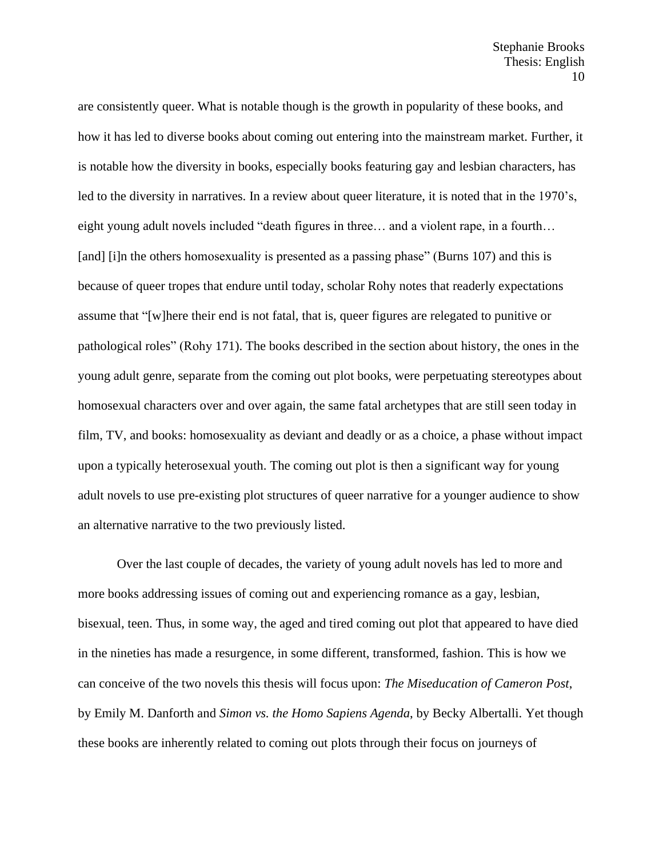are consistently queer. What is notable though is the growth in popularity of these books, and how it has led to diverse books about coming out entering into the mainstream market. Further, it is notable how the diversity in books, especially books featuring gay and lesbian characters, has led to the diversity in narratives. In a review about queer literature, it is noted that in the 1970's, eight young adult novels included "death figures in three… and a violent rape, in a fourth… [and] [i]n the others homosexuality is presented as a passing phase" (Burns 107) and this is because of queer tropes that endure until today, scholar Rohy notes that readerly expectations assume that "[w]here their end is not fatal, that is, queer figures are relegated to punitive or pathological roles" (Rohy 171). The books described in the section about history, the ones in the young adult genre, separate from the coming out plot books, were perpetuating stereotypes about homosexual characters over and over again, the same fatal archetypes that are still seen today in film, TV, and books: homosexuality as deviant and deadly or as a choice, a phase without impact upon a typically heterosexual youth. The coming out plot is then a significant way for young adult novels to use pre-existing plot structures of queer narrative for a younger audience to show an alternative narrative to the two previously listed.

Over the last couple of decades, the variety of young adult novels has led to more and more books addressing issues of coming out and experiencing romance as a gay, lesbian, bisexual, teen. Thus, in some way, the aged and tired coming out plot that appeared to have died in the nineties has made a resurgence, in some different, transformed, fashion. This is how we can conceive of the two novels this thesis will focus upon: *The Miseducation of Cameron Post*, by Emily M. Danforth and *Simon vs. the Homo Sapiens Agenda*, by Becky Albertalli. Yet though these books are inherently related to coming out plots through their focus on journeys of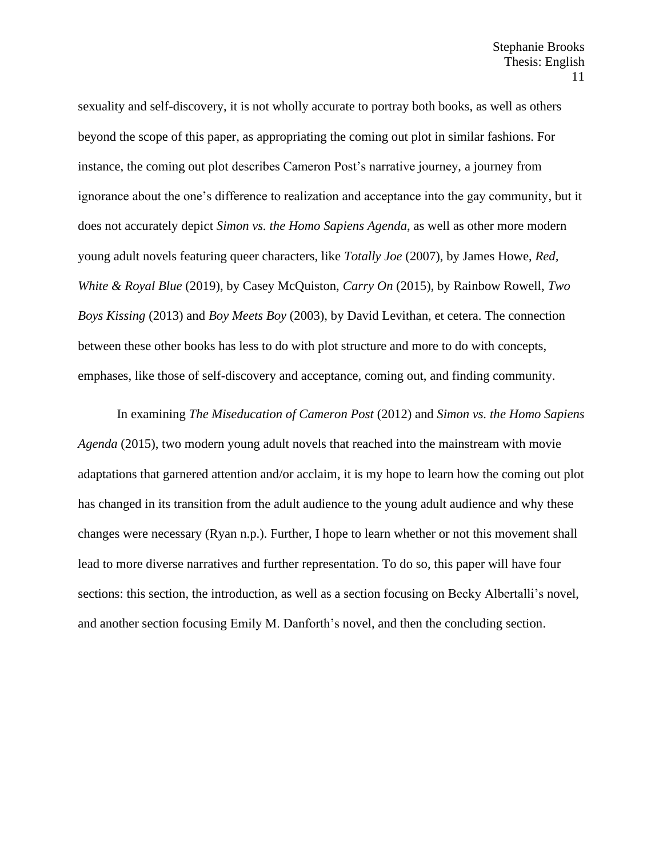sexuality and self-discovery, it is not wholly accurate to portray both books, as well as others beyond the scope of this paper, as appropriating the coming out plot in similar fashions. For instance, the coming out plot describes Cameron Post's narrative journey, a journey from ignorance about the one's difference to realization and acceptance into the gay community, but it does not accurately depict *Simon vs. the Homo Sapiens Agenda*, as well as other more modern young adult novels featuring queer characters, like *Totally Joe* (2007), by James Howe, *Red, White & Royal Blue* (2019), by Casey McQuiston, *Carry On* (2015), by Rainbow Rowell, *Two Boys Kissing* (2013) and *Boy Meets Boy* (2003), by David Levithan, et cetera. The connection between these other books has less to do with plot structure and more to do with concepts, emphases, like those of self-discovery and acceptance, coming out, and finding community.

In examining *The Miseducation of Cameron Post* (2012) and *Simon vs. the Homo Sapiens Agenda* (2015), two modern young adult novels that reached into the mainstream with movie adaptations that garnered attention and/or acclaim, it is my hope to learn how the coming out plot has changed in its transition from the adult audience to the young adult audience and why these changes were necessary (Ryan n.p.). Further, I hope to learn whether or not this movement shall lead to more diverse narratives and further representation. To do so, this paper will have four sections: this section, the introduction, as well as a section focusing on Becky Albertalli's novel, and another section focusing Emily M. Danforth's novel, and then the concluding section.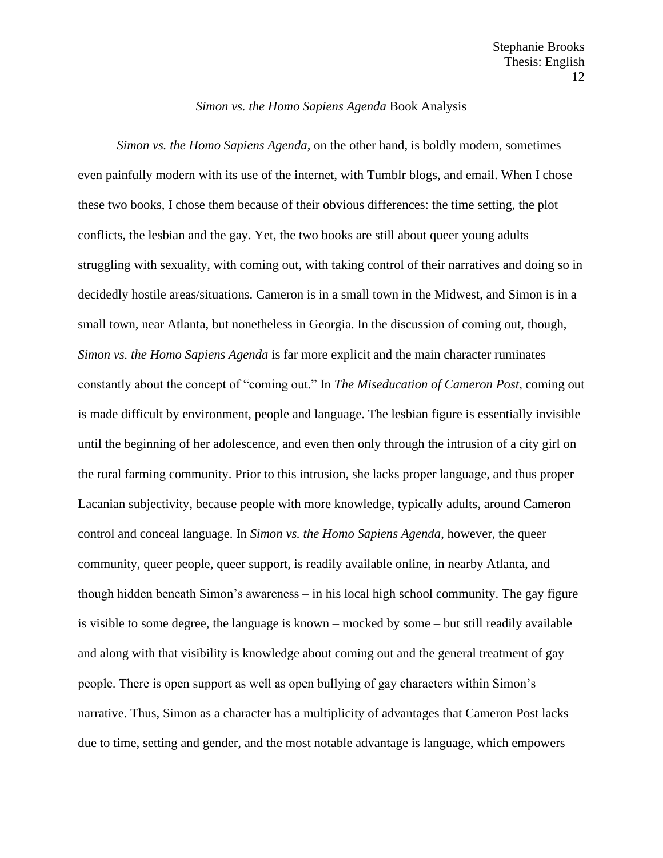## *Simon vs. the Homo Sapiens Agenda* Book Analysis

*Simon vs. the Homo Sapiens Agenda*, on the other hand, is boldly modern, sometimes even painfully modern with its use of the internet, with Tumblr blogs, and email. When I chose these two books, I chose them because of their obvious differences: the time setting, the plot conflicts, the lesbian and the gay. Yet, the two books are still about queer young adults struggling with sexuality, with coming out, with taking control of their narratives and doing so in decidedly hostile areas/situations. Cameron is in a small town in the Midwest, and Simon is in a small town, near Atlanta, but nonetheless in Georgia. In the discussion of coming out, though, *Simon vs. the Homo Sapiens Agenda* is far more explicit and the main character ruminates constantly about the concept of "coming out." In *The Miseducation of Cameron Post*, coming out is made difficult by environment, people and language. The lesbian figure is essentially invisible until the beginning of her adolescence, and even then only through the intrusion of a city girl on the rural farming community. Prior to this intrusion, she lacks proper language, and thus proper Lacanian subjectivity, because people with more knowledge, typically adults, around Cameron control and conceal language. In *Simon vs. the Homo Sapiens Agenda*, however, the queer community, queer people, queer support, is readily available online, in nearby Atlanta, and – though hidden beneath Simon's awareness – in his local high school community. The gay figure is visible to some degree, the language is known – mocked by some – but still readily available and along with that visibility is knowledge about coming out and the general treatment of gay people. There is open support as well as open bullying of gay characters within Simon's narrative. Thus, Simon as a character has a multiplicity of advantages that Cameron Post lacks due to time, setting and gender, and the most notable advantage is language, which empowers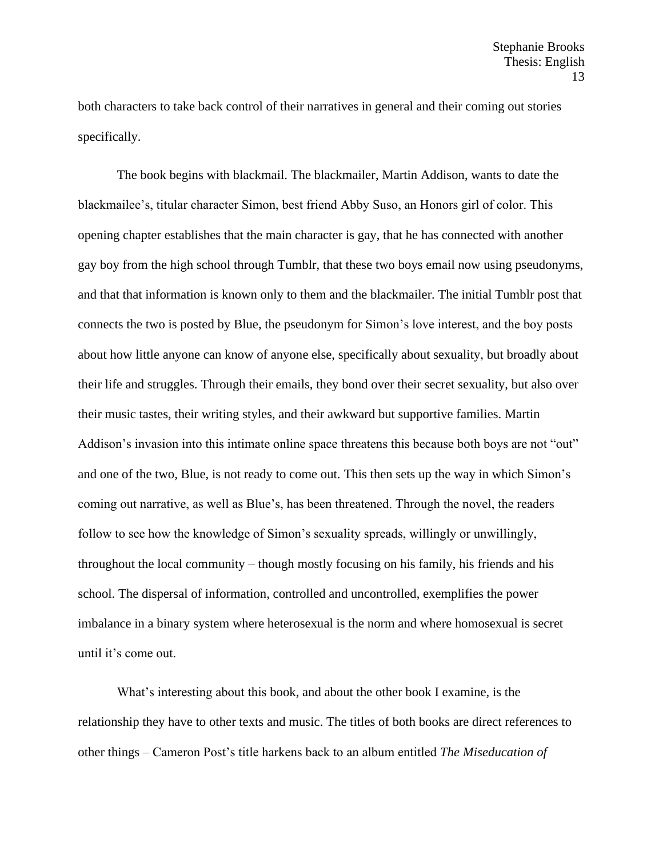both characters to take back control of their narratives in general and their coming out stories specifically.

The book begins with blackmail. The blackmailer, Martin Addison, wants to date the blackmailee's, titular character Simon, best friend Abby Suso, an Honors girl of color. This opening chapter establishes that the main character is gay, that he has connected with another gay boy from the high school through Tumblr, that these two boys email now using pseudonyms, and that that information is known only to them and the blackmailer. The initial Tumblr post that connects the two is posted by Blue, the pseudonym for Simon's love interest, and the boy posts about how little anyone can know of anyone else, specifically about sexuality, but broadly about their life and struggles. Through their emails, they bond over their secret sexuality, but also over their music tastes, their writing styles, and their awkward but supportive families. Martin Addison's invasion into this intimate online space threatens this because both boys are not "out" and one of the two, Blue, is not ready to come out. This then sets up the way in which Simon's coming out narrative, as well as Blue's, has been threatened. Through the novel, the readers follow to see how the knowledge of Simon's sexuality spreads, willingly or unwillingly, throughout the local community – though mostly focusing on his family, his friends and his school. The dispersal of information, controlled and uncontrolled, exemplifies the power imbalance in a binary system where heterosexual is the norm and where homosexual is secret until it's come out.

What's interesting about this book, and about the other book I examine, is the relationship they have to other texts and music. The titles of both books are direct references to other things – Cameron Post's title harkens back to an album entitled *The Miseducation of*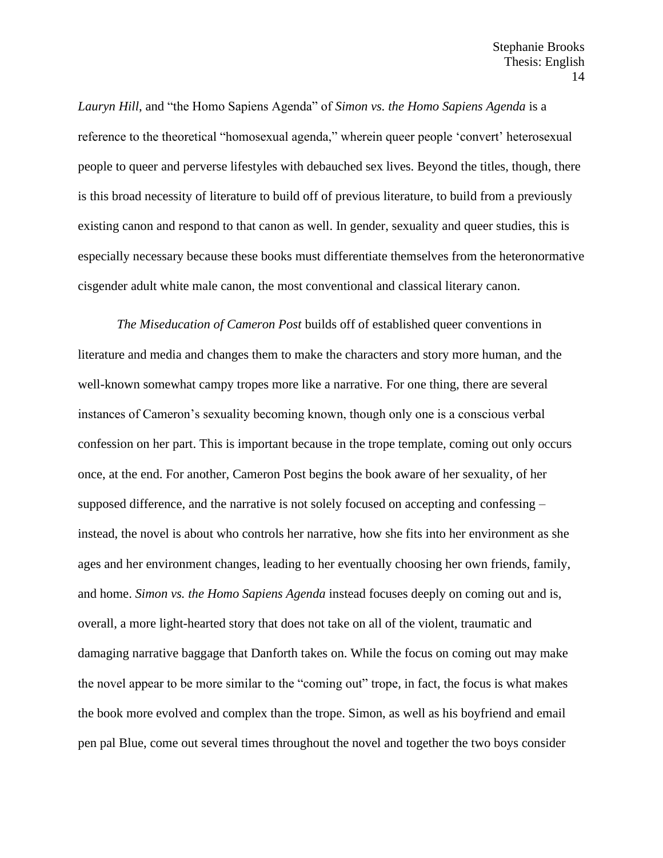*Lauryn Hill*, and "the Homo Sapiens Agenda" of *Simon vs. the Homo Sapiens Agenda* is a reference to the theoretical "homosexual agenda," wherein queer people 'convert' heterosexual people to queer and perverse lifestyles with debauched sex lives. Beyond the titles, though, there is this broad necessity of literature to build off of previous literature, to build from a previously existing canon and respond to that canon as well. In gender, sexuality and queer studies, this is especially necessary because these books must differentiate themselves from the heteronormative cisgender adult white male canon, the most conventional and classical literary canon.

*The Miseducation of Cameron Post* builds off of established queer conventions in literature and media and changes them to make the characters and story more human, and the well-known somewhat campy tropes more like a narrative. For one thing, there are several instances of Cameron's sexuality becoming known, though only one is a conscious verbal confession on her part. This is important because in the trope template, coming out only occurs once, at the end. For another, Cameron Post begins the book aware of her sexuality, of her supposed difference, and the narrative is not solely focused on accepting and confessing – instead, the novel is about who controls her narrative, how she fits into her environment as she ages and her environment changes, leading to her eventually choosing her own friends, family, and home. *Simon vs. the Homo Sapiens Agenda* instead focuses deeply on coming out and is, overall, a more light-hearted story that does not take on all of the violent, traumatic and damaging narrative baggage that Danforth takes on. While the focus on coming out may make the novel appear to be more similar to the "coming out" trope, in fact, the focus is what makes the book more evolved and complex than the trope. Simon, as well as his boyfriend and email pen pal Blue, come out several times throughout the novel and together the two boys consider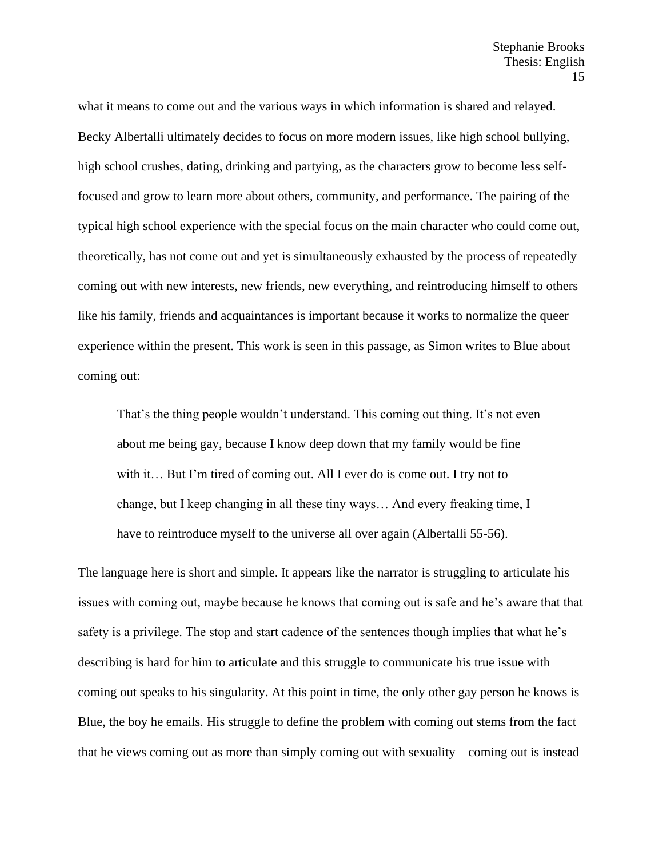what it means to come out and the various ways in which information is shared and relayed. Becky Albertalli ultimately decides to focus on more modern issues, like high school bullying, high school crushes, dating, drinking and partying, as the characters grow to become less selffocused and grow to learn more about others, community, and performance. The pairing of the typical high school experience with the special focus on the main character who could come out, theoretically, has not come out and yet is simultaneously exhausted by the process of repeatedly coming out with new interests, new friends, new everything, and reintroducing himself to others like his family, friends and acquaintances is important because it works to normalize the queer experience within the present. This work is seen in this passage, as Simon writes to Blue about coming out:

That's the thing people wouldn't understand. This coming out thing. It's not even about me being gay, because I know deep down that my family would be fine with it... But I'm tired of coming out. All I ever do is come out. I try not to change, but I keep changing in all these tiny ways… And every freaking time, I have to reintroduce myself to the universe all over again (Albertalli 55-56).

The language here is short and simple. It appears like the narrator is struggling to articulate his issues with coming out, maybe because he knows that coming out is safe and he's aware that that safety is a privilege. The stop and start cadence of the sentences though implies that what he's describing is hard for him to articulate and this struggle to communicate his true issue with coming out speaks to his singularity. At this point in time, the only other gay person he knows is Blue, the boy he emails. His struggle to define the problem with coming out stems from the fact that he views coming out as more than simply coming out with sexuality – coming out is instead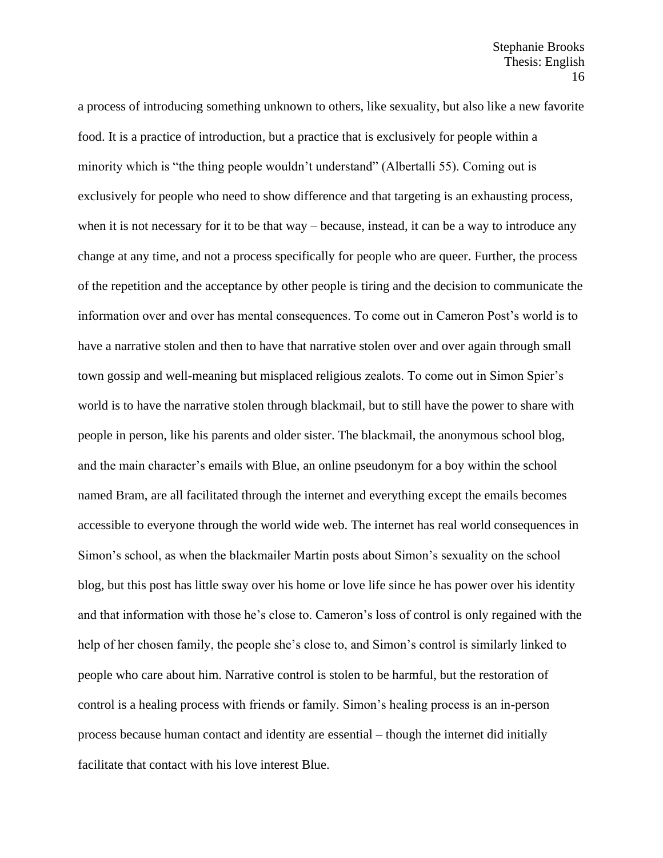a process of introducing something unknown to others, like sexuality, but also like a new favorite food. It is a practice of introduction, but a practice that is exclusively for people within a minority which is "the thing people wouldn't understand" (Albertalli 55). Coming out is exclusively for people who need to show difference and that targeting is an exhausting process, when it is not necessary for it to be that way – because, instead, it can be a way to introduce any change at any time, and not a process specifically for people who are queer. Further, the process of the repetition and the acceptance by other people is tiring and the decision to communicate the information over and over has mental consequences. To come out in Cameron Post's world is to have a narrative stolen and then to have that narrative stolen over and over again through small town gossip and well-meaning but misplaced religious zealots. To come out in Simon Spier's world is to have the narrative stolen through blackmail, but to still have the power to share with people in person, like his parents and older sister. The blackmail, the anonymous school blog, and the main character's emails with Blue, an online pseudonym for a boy within the school named Bram, are all facilitated through the internet and everything except the emails becomes accessible to everyone through the world wide web. The internet has real world consequences in Simon's school, as when the blackmailer Martin posts about Simon's sexuality on the school blog, but this post has little sway over his home or love life since he has power over his identity and that information with those he's close to. Cameron's loss of control is only regained with the help of her chosen family, the people she's close to, and Simon's control is similarly linked to people who care about him. Narrative control is stolen to be harmful, but the restoration of control is a healing process with friends or family. Simon's healing process is an in-person process because human contact and identity are essential – though the internet did initially facilitate that contact with his love interest Blue.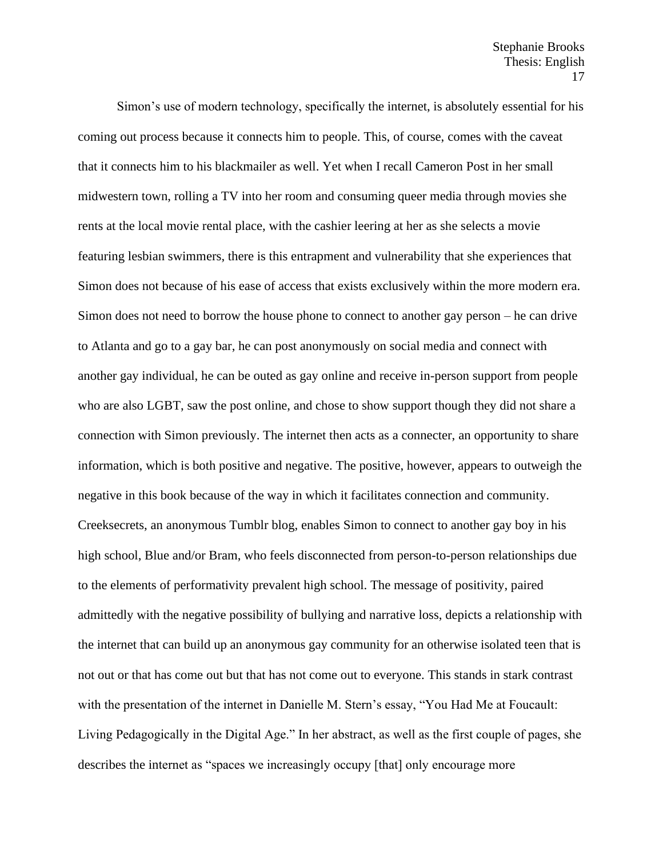Simon's use of modern technology, specifically the internet, is absolutely essential for his coming out process because it connects him to people. This, of course, comes with the caveat that it connects him to his blackmailer as well. Yet when I recall Cameron Post in her small midwestern town, rolling a TV into her room and consuming queer media through movies she rents at the local movie rental place, with the cashier leering at her as she selects a movie featuring lesbian swimmers, there is this entrapment and vulnerability that she experiences that Simon does not because of his ease of access that exists exclusively within the more modern era. Simon does not need to borrow the house phone to connect to another gay person – he can drive to Atlanta and go to a gay bar, he can post anonymously on social media and connect with another gay individual, he can be outed as gay online and receive in-person support from people who are also LGBT, saw the post online, and chose to show support though they did not share a connection with Simon previously. The internet then acts as a connecter, an opportunity to share information, which is both positive and negative. The positive, however, appears to outweigh the negative in this book because of the way in which it facilitates connection and community. Creeksecrets, an anonymous Tumblr blog, enables Simon to connect to another gay boy in his high school, Blue and/or Bram, who feels disconnected from person-to-person relationships due to the elements of performativity prevalent high school. The message of positivity, paired admittedly with the negative possibility of bullying and narrative loss, depicts a relationship with the internet that can build up an anonymous gay community for an otherwise isolated teen that is not out or that has come out but that has not come out to everyone. This stands in stark contrast with the presentation of the internet in Danielle M. Stern's essay, "You Had Me at Foucault: Living Pedagogically in the Digital Age." In her abstract, as well as the first couple of pages, she describes the internet as "spaces we increasingly occupy [that] only encourage more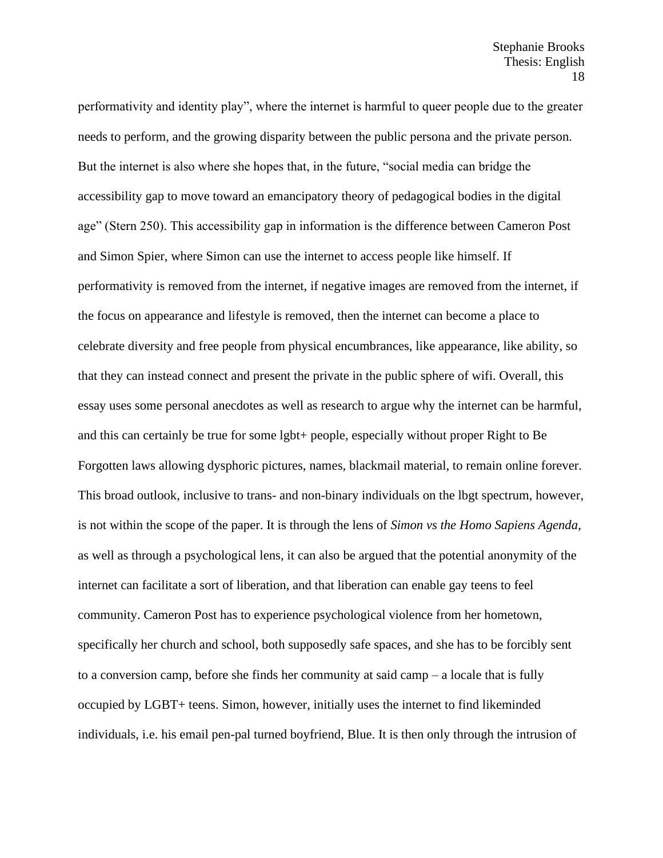performativity and identity play", where the internet is harmful to queer people due to the greater needs to perform, and the growing disparity between the public persona and the private person. But the internet is also where she hopes that, in the future, "social media can bridge the accessibility gap to move toward an emancipatory theory of pedagogical bodies in the digital age" (Stern 250). This accessibility gap in information is the difference between Cameron Post and Simon Spier, where Simon can use the internet to access people like himself. If performativity is removed from the internet, if negative images are removed from the internet, if the focus on appearance and lifestyle is removed, then the internet can become a place to celebrate diversity and free people from physical encumbrances, like appearance, like ability, so that they can instead connect and present the private in the public sphere of wifi. Overall, this essay uses some personal anecdotes as well as research to argue why the internet can be harmful, and this can certainly be true for some lgbt+ people, especially without proper Right to Be Forgotten laws allowing dysphoric pictures, names, blackmail material, to remain online forever. This broad outlook, inclusive to trans- and non-binary individuals on the lbgt spectrum, however, is not within the scope of the paper. It is through the lens of *Simon vs the Homo Sapiens Agenda*, as well as through a psychological lens, it can also be argued that the potential anonymity of the internet can facilitate a sort of liberation, and that liberation can enable gay teens to feel community. Cameron Post has to experience psychological violence from her hometown, specifically her church and school, both supposedly safe spaces, and she has to be forcibly sent to a conversion camp, before she finds her community at said camp – a locale that is fully occupied by LGBT+ teens. Simon, however, initially uses the internet to find likeminded individuals, i.e. his email pen-pal turned boyfriend, Blue. It is then only through the intrusion of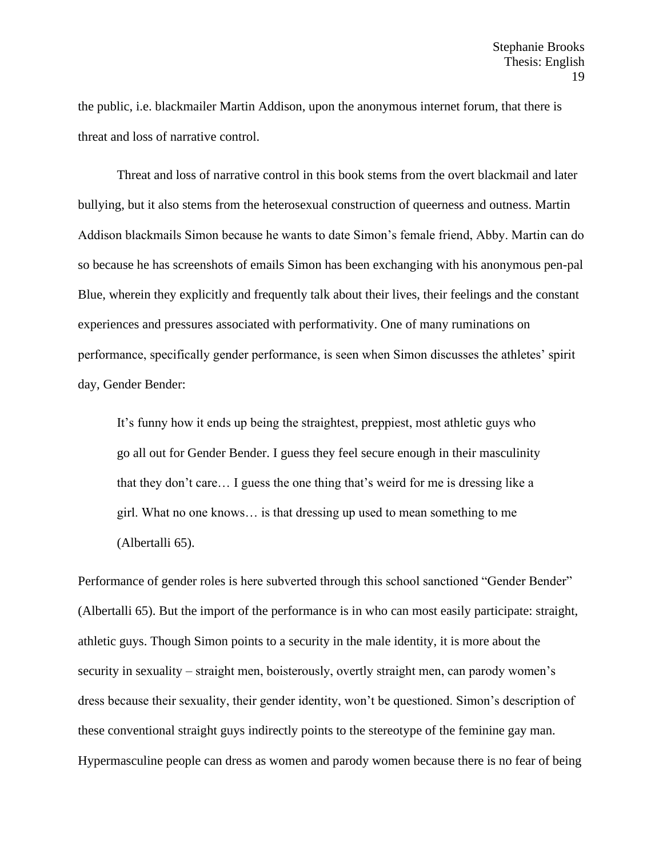the public, i.e. blackmailer Martin Addison, upon the anonymous internet forum, that there is threat and loss of narrative control.

Threat and loss of narrative control in this book stems from the overt blackmail and later bullying, but it also stems from the heterosexual construction of queerness and outness. Martin Addison blackmails Simon because he wants to date Simon's female friend, Abby. Martin can do so because he has screenshots of emails Simon has been exchanging with his anonymous pen-pal Blue, wherein they explicitly and frequently talk about their lives, their feelings and the constant experiences and pressures associated with performativity. One of many ruminations on performance, specifically gender performance, is seen when Simon discusses the athletes' spirit day, Gender Bender:

It's funny how it ends up being the straightest, preppiest, most athletic guys who go all out for Gender Bender. I guess they feel secure enough in their masculinity that they don't care… I guess the one thing that's weird for me is dressing like a girl. What no one knows… is that dressing up used to mean something to me (Albertalli 65).

Performance of gender roles is here subverted through this school sanctioned "Gender Bender" (Albertalli 65). But the import of the performance is in who can most easily participate: straight, athletic guys. Though Simon points to a security in the male identity, it is more about the security in sexuality – straight men, boisterously, overtly straight men, can parody women's dress because their sexuality, their gender identity, won't be questioned. Simon's description of these conventional straight guys indirectly points to the stereotype of the feminine gay man. Hypermasculine people can dress as women and parody women because there is no fear of being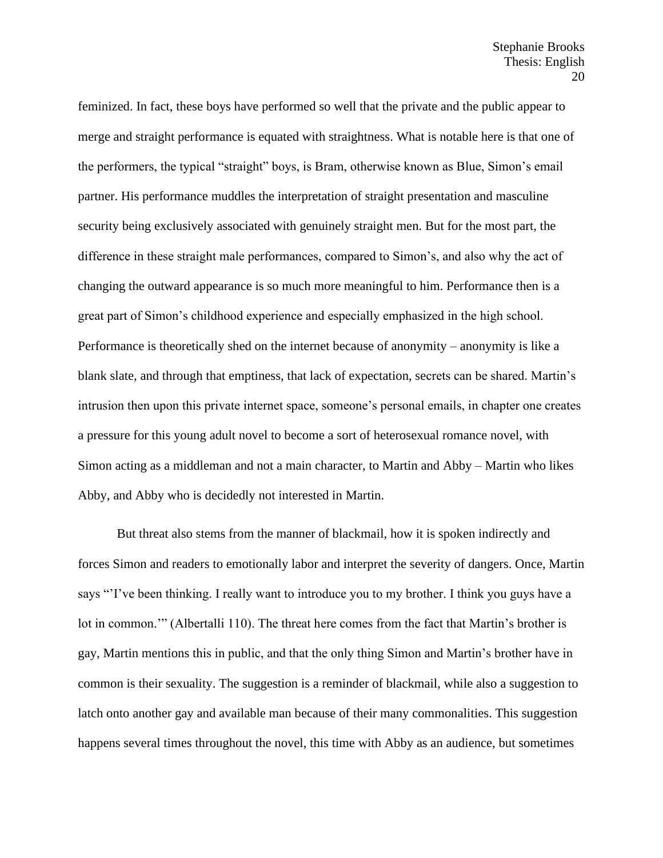feminized. In fact, these boys have performed so well that the private and the public appear to merge and straight performance is equated with straightness. What is notable here is that one of the performers, the typical "straight" boys, is Bram, otherwise known as Blue, Simon's email partner. His performance muddles the interpretation of straight presentation and masculine security being exclusively associated with genuinely straight men. But for the most part, the difference in these straight male performances, compared to Simon's, and also why the act of changing the outward appearance is so much more meaningful to him. Performance then is a great part of Simon's childhood experience and especially emphasized in the high school. Performance is theoretically shed on the internet because of anonymity – anonymity is like a blank slate, and through that emptiness, that lack of expectation, secrets can be shared. Martin's intrusion then upon this private internet space, someone's personal emails, in chapter one creates a pressure for this young adult novel to become a sort of heterosexual romance novel, with Simon acting as a middleman and not a main character, to Martin and Abby – Martin who likes Abby, and Abby who is decidedly not interested in Martin.

But threat also stems from the manner of blackmail, how it is spoken indirectly and forces Simon and readers to emotionally labor and interpret the severity of dangers. Once, Martin says "'I've been thinking. I really want to introduce you to my brother. I think you guys have a lot in common.'" (Albertalli 110). The threat here comes from the fact that Martin's brother is gay, Martin mentions this in public, and that the only thing Simon and Martin's brother have in common is their sexuality. The suggestion is a reminder of blackmail, while also a suggestion to latch onto another gay and available man because of their many commonalities. This suggestion happens several times throughout the novel, this time with Abby as an audience, but sometimes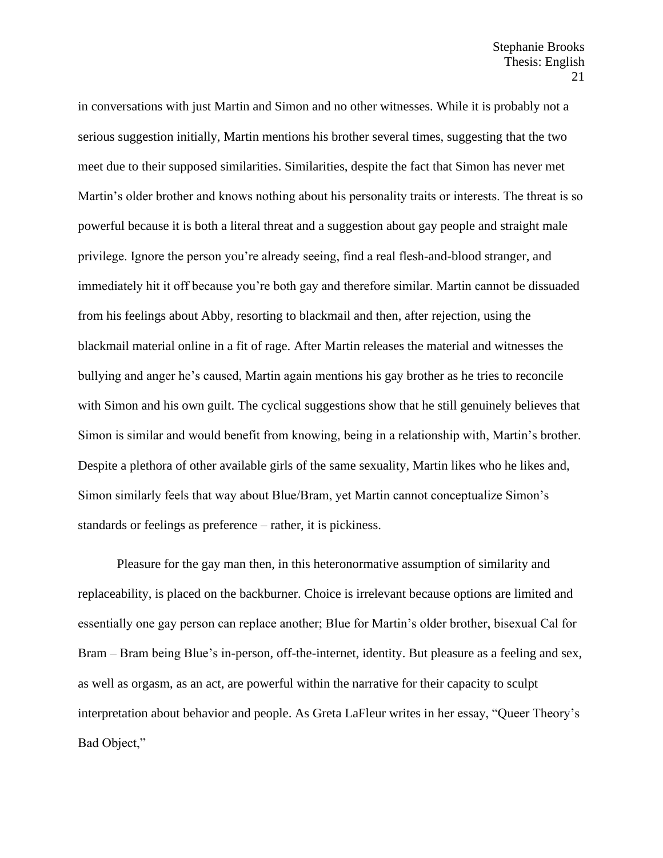in conversations with just Martin and Simon and no other witnesses. While it is probably not a serious suggestion initially, Martin mentions his brother several times, suggesting that the two meet due to their supposed similarities. Similarities, despite the fact that Simon has never met Martin's older brother and knows nothing about his personality traits or interests. The threat is so powerful because it is both a literal threat and a suggestion about gay people and straight male privilege. Ignore the person you're already seeing, find a real flesh-and-blood stranger, and immediately hit it off because you're both gay and therefore similar. Martin cannot be dissuaded from his feelings about Abby, resorting to blackmail and then, after rejection, using the blackmail material online in a fit of rage. After Martin releases the material and witnesses the bullying and anger he's caused, Martin again mentions his gay brother as he tries to reconcile with Simon and his own guilt. The cyclical suggestions show that he still genuinely believes that Simon is similar and would benefit from knowing, being in a relationship with, Martin's brother. Despite a plethora of other available girls of the same sexuality, Martin likes who he likes and, Simon similarly feels that way about Blue/Bram, yet Martin cannot conceptualize Simon's standards or feelings as preference – rather, it is pickiness.

Pleasure for the gay man then, in this heteronormative assumption of similarity and replaceability, is placed on the backburner. Choice is irrelevant because options are limited and essentially one gay person can replace another; Blue for Martin's older brother, bisexual Cal for Bram – Bram being Blue's in-person, off-the-internet, identity. But pleasure as a feeling and sex, as well as orgasm, as an act, are powerful within the narrative for their capacity to sculpt interpretation about behavior and people. As Greta LaFleur writes in her essay, "Queer Theory's Bad Object,"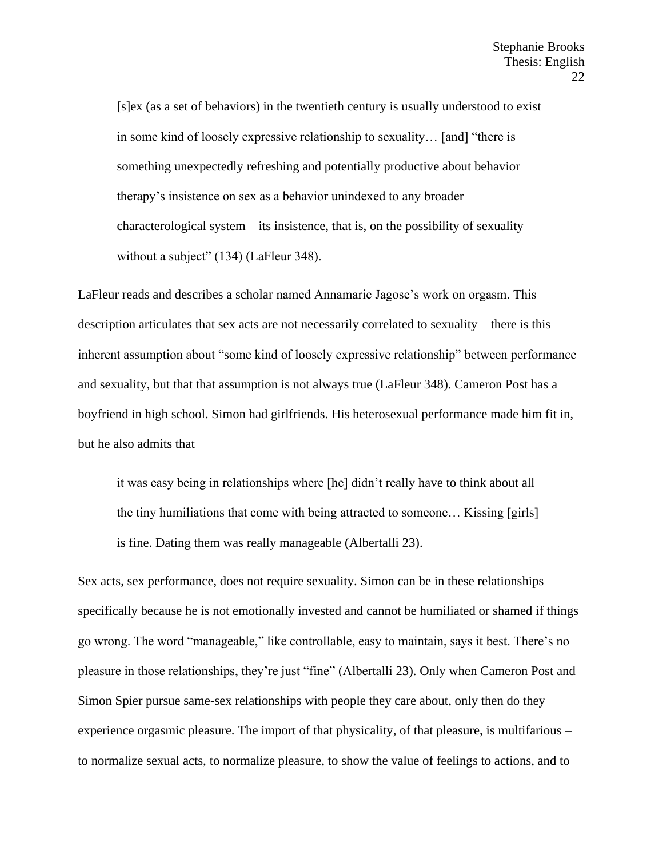[s]ex (as a set of behaviors) in the twentieth century is usually understood to exist in some kind of loosely expressive relationship to sexuality… [and] "there is something unexpectedly refreshing and potentially productive about behavior therapy's insistence on sex as a behavior unindexed to any broader characterological system – its insistence, that is, on the possibility of sexuality without a subject" (134) (LaFleur 348).

LaFleur reads and describes a scholar named Annamarie Jagose's work on orgasm. This description articulates that sex acts are not necessarily correlated to sexuality – there is this inherent assumption about "some kind of loosely expressive relationship" between performance and sexuality, but that that assumption is not always true (LaFleur 348). Cameron Post has a boyfriend in high school. Simon had girlfriends. His heterosexual performance made him fit in, but he also admits that

it was easy being in relationships where [he] didn't really have to think about all the tiny humiliations that come with being attracted to someone… Kissing [girls] is fine. Dating them was really manageable (Albertalli 23).

Sex acts, sex performance, does not require sexuality. Simon can be in these relationships specifically because he is not emotionally invested and cannot be humiliated or shamed if things go wrong. The word "manageable," like controllable, easy to maintain, says it best. There's no pleasure in those relationships, they're just "fine" (Albertalli 23). Only when Cameron Post and Simon Spier pursue same-sex relationships with people they care about, only then do they experience orgasmic pleasure. The import of that physicality, of that pleasure, is multifarious – to normalize sexual acts, to normalize pleasure, to show the value of feelings to actions, and to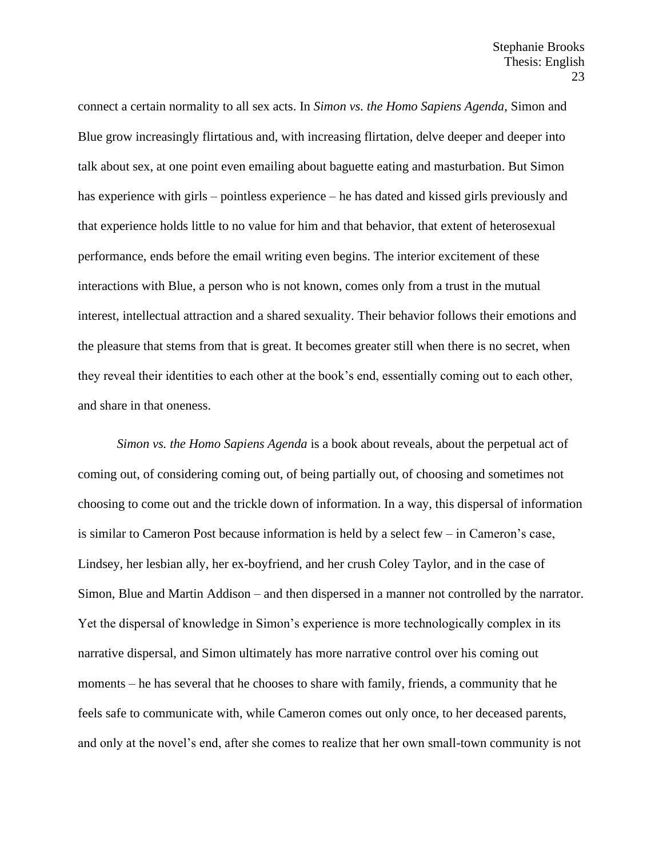connect a certain normality to all sex acts. In *Simon vs. the Homo Sapiens Agenda*, Simon and Blue grow increasingly flirtatious and, with increasing flirtation, delve deeper and deeper into talk about sex, at one point even emailing about baguette eating and masturbation. But Simon has experience with girls – pointless experience – he has dated and kissed girls previously and that experience holds little to no value for him and that behavior, that extent of heterosexual performance, ends before the email writing even begins. The interior excitement of these interactions with Blue, a person who is not known, comes only from a trust in the mutual interest, intellectual attraction and a shared sexuality. Their behavior follows their emotions and the pleasure that stems from that is great. It becomes greater still when there is no secret, when they reveal their identities to each other at the book's end, essentially coming out to each other, and share in that oneness.

*Simon vs. the Homo Sapiens Agenda* is a book about reveals, about the perpetual act of coming out, of considering coming out, of being partially out, of choosing and sometimes not choosing to come out and the trickle down of information. In a way, this dispersal of information is similar to Cameron Post because information is held by a select few – in Cameron's case, Lindsey, her lesbian ally, her ex-boyfriend, and her crush Coley Taylor, and in the case of Simon, Blue and Martin Addison – and then dispersed in a manner not controlled by the narrator. Yet the dispersal of knowledge in Simon's experience is more technologically complex in its narrative dispersal, and Simon ultimately has more narrative control over his coming out moments – he has several that he chooses to share with family, friends, a community that he feels safe to communicate with, while Cameron comes out only once, to her deceased parents, and only at the novel's end, after she comes to realize that her own small-town community is not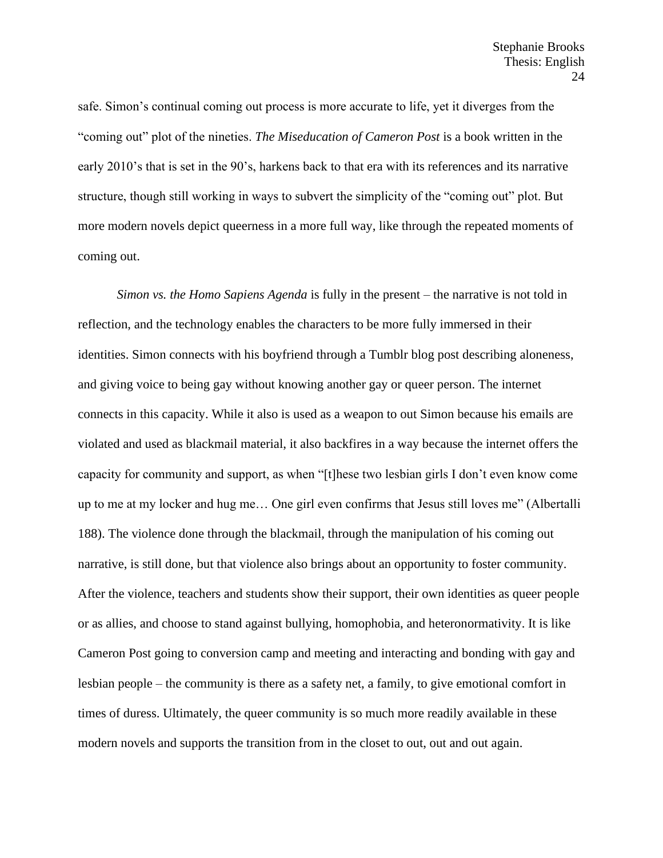safe. Simon's continual coming out process is more accurate to life, yet it diverges from the "coming out" plot of the nineties. *The Miseducation of Cameron Post* is a book written in the early 2010's that is set in the 90's, harkens back to that era with its references and its narrative structure, though still working in ways to subvert the simplicity of the "coming out" plot. But more modern novels depict queerness in a more full way, like through the repeated moments of coming out.

*Simon vs. the Homo Sapiens Agenda* is fully in the present – the narrative is not told in reflection, and the technology enables the characters to be more fully immersed in their identities. Simon connects with his boyfriend through a Tumblr blog post describing aloneness, and giving voice to being gay without knowing another gay or queer person. The internet connects in this capacity. While it also is used as a weapon to out Simon because his emails are violated and used as blackmail material, it also backfires in a way because the internet offers the capacity for community and support, as when "[t]hese two lesbian girls I don't even know come up to me at my locker and hug me… One girl even confirms that Jesus still loves me" (Albertalli 188). The violence done through the blackmail, through the manipulation of his coming out narrative, is still done, but that violence also brings about an opportunity to foster community. After the violence, teachers and students show their support, their own identities as queer people or as allies, and choose to stand against bullying, homophobia, and heteronormativity. It is like Cameron Post going to conversion camp and meeting and interacting and bonding with gay and lesbian people – the community is there as a safety net, a family, to give emotional comfort in times of duress. Ultimately, the queer community is so much more readily available in these modern novels and supports the transition from in the closet to out, out and out again.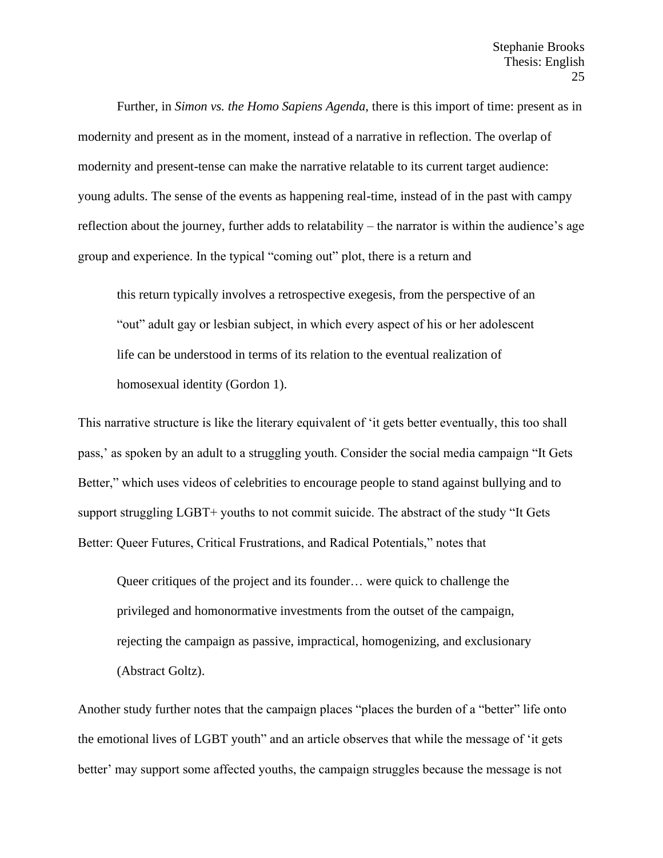Further, in *Simon vs. the Homo Sapiens Agenda*, there is this import of time: present as in modernity and present as in the moment, instead of a narrative in reflection. The overlap of modernity and present-tense can make the narrative relatable to its current target audience: young adults. The sense of the events as happening real-time, instead of in the past with campy reflection about the journey, further adds to relatability – the narrator is within the audience's age group and experience. In the typical "coming out" plot, there is a return and

this return typically involves a retrospective exegesis, from the perspective of an "out" adult gay or lesbian subject, in which every aspect of his or her adolescent life can be understood in terms of its relation to the eventual realization of homosexual identity (Gordon 1).

This narrative structure is like the literary equivalent of 'it gets better eventually, this too shall pass,' as spoken by an adult to a struggling youth. Consider the social media campaign "It Gets Better," which uses videos of celebrities to encourage people to stand against bullying and to support struggling LGBT+ youths to not commit suicide. The abstract of the study "It Gets Better: Queer Futures, Critical Frustrations, and Radical Potentials," notes that

Queer critiques of the project and its founder… were quick to challenge the privileged and homonormative investments from the outset of the campaign, rejecting the campaign as passive, impractical, homogenizing, and exclusionary (Abstract Goltz).

Another study further notes that the campaign places "places the burden of a "better" life onto the emotional lives of LGBT youth" and an article observes that while the message of 'it gets better' may support some affected youths, the campaign struggles because the message is not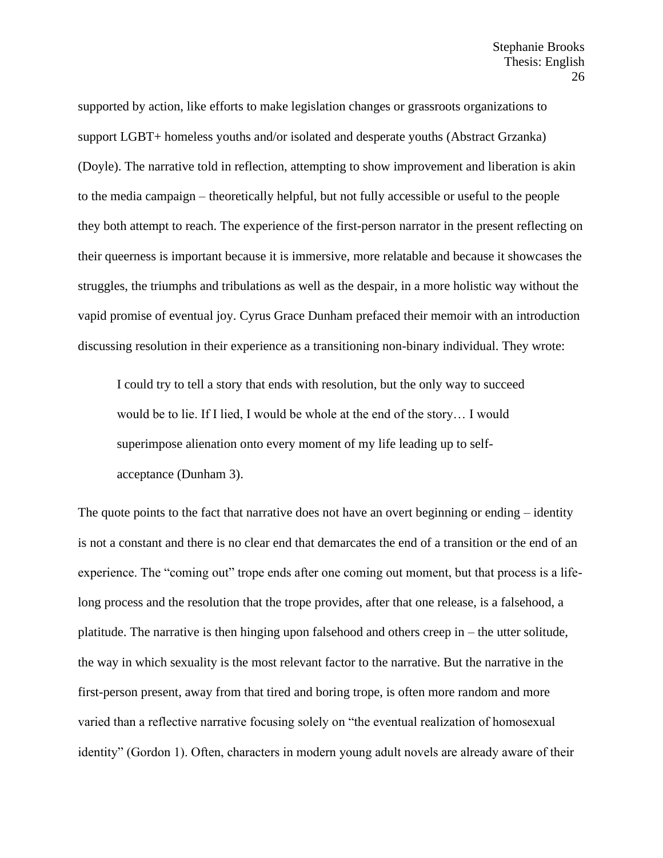supported by action, like efforts to make legislation changes or grassroots organizations to support LGBT+ homeless youths and/or isolated and desperate youths (Abstract Grzanka) (Doyle). The narrative told in reflection, attempting to show improvement and liberation is akin to the media campaign – theoretically helpful, but not fully accessible or useful to the people they both attempt to reach. The experience of the first-person narrator in the present reflecting on their queerness is important because it is immersive, more relatable and because it showcases the struggles, the triumphs and tribulations as well as the despair, in a more holistic way without the vapid promise of eventual joy. Cyrus Grace Dunham prefaced their memoir with an introduction discussing resolution in their experience as a transitioning non-binary individual. They wrote:

I could try to tell a story that ends with resolution, but the only way to succeed would be to lie. If I lied, I would be whole at the end of the story… I would superimpose alienation onto every moment of my life leading up to selfacceptance (Dunham 3).

The quote points to the fact that narrative does not have an overt beginning or ending – identity is not a constant and there is no clear end that demarcates the end of a transition or the end of an experience. The "coming out" trope ends after one coming out moment, but that process is a lifelong process and the resolution that the trope provides, after that one release, is a falsehood, a platitude. The narrative is then hinging upon falsehood and others creep in – the utter solitude, the way in which sexuality is the most relevant factor to the narrative. But the narrative in the first-person present, away from that tired and boring trope, is often more random and more varied than a reflective narrative focusing solely on "the eventual realization of homosexual identity" (Gordon 1). Often, characters in modern young adult novels are already aware of their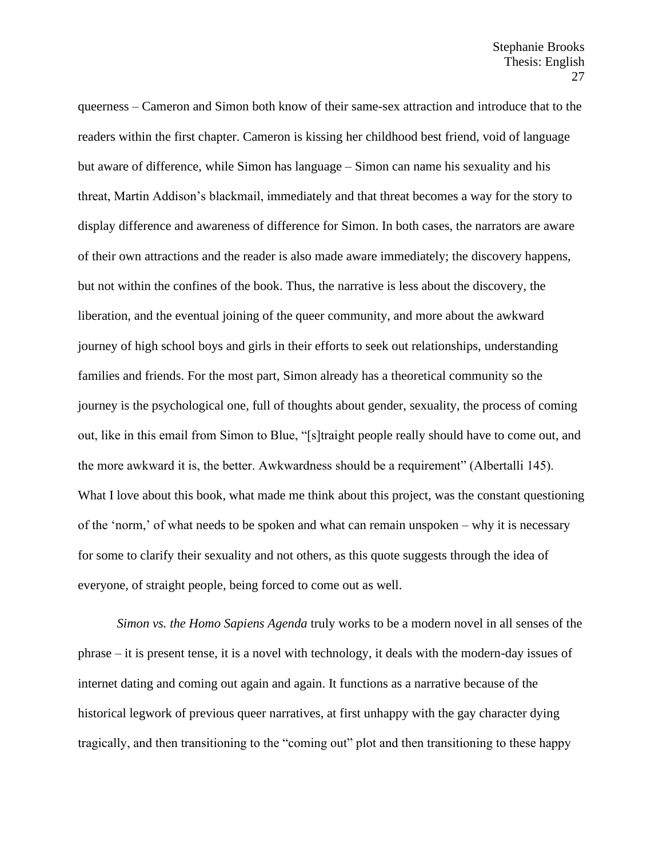queerness – Cameron and Simon both know of their same-sex attraction and introduce that to the readers within the first chapter. Cameron is kissing her childhood best friend, void of language but aware of difference, while Simon has language – Simon can name his sexuality and his threat, Martin Addison's blackmail, immediately and that threat becomes a way for the story to display difference and awareness of difference for Simon. In both cases, the narrators are aware of their own attractions and the reader is also made aware immediately; the discovery happens, but not within the confines of the book. Thus, the narrative is less about the discovery, the liberation, and the eventual joining of the queer community, and more about the awkward journey of high school boys and girls in their efforts to seek out relationships, understanding families and friends. For the most part, Simon already has a theoretical community so the journey is the psychological one, full of thoughts about gender, sexuality, the process of coming out, like in this email from Simon to Blue, "[s]traight people really should have to come out, and the more awkward it is, the better. Awkwardness should be a requirement" (Albertalli 145). What I love about this book, what made me think about this project, was the constant questioning of the 'norm,' of what needs to be spoken and what can remain unspoken – why it is necessary for some to clarify their sexuality and not others, as this quote suggests through the idea of everyone, of straight people, being forced to come out as well.

*Simon vs. the Homo Sapiens Agenda* truly works to be a modern novel in all senses of the phrase – it is present tense, it is a novel with technology, it deals with the modern-day issues of internet dating and coming out again and again. It functions as a narrative because of the historical legwork of previous queer narratives, at first unhappy with the gay character dying tragically, and then transitioning to the "coming out" plot and then transitioning to these happy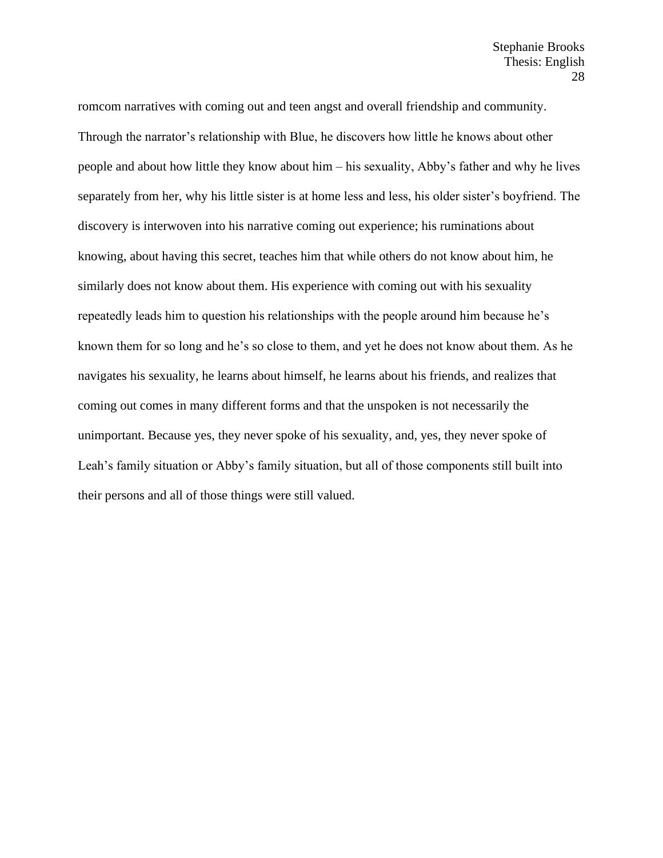romcom narratives with coming out and teen angst and overall friendship and community. Through the narrator's relationship with Blue, he discovers how little he knows about other people and about how little they know about him – his sexuality, Abby's father and why he lives separately from her, why his little sister is at home less and less, his older sister's boyfriend. The discovery is interwoven into his narrative coming out experience; his ruminations about knowing, about having this secret, teaches him that while others do not know about him, he similarly does not know about them. His experience with coming out with his sexuality repeatedly leads him to question his relationships with the people around him because he's known them for so long and he's so close to them, and yet he does not know about them. As he navigates his sexuality, he learns about himself, he learns about his friends, and realizes that coming out comes in many different forms and that the unspoken is not necessarily the unimportant. Because yes, they never spoke of his sexuality, and, yes, they never spoke of Leah's family situation or Abby's family situation, but all of those components still built into their persons and all of those things were still valued.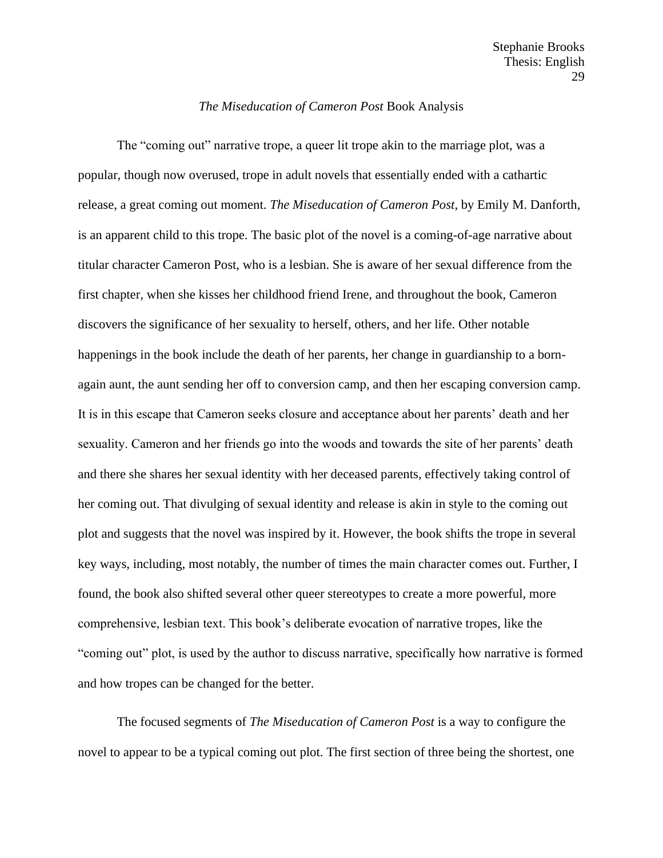### *The Miseducation of Cameron Post* Book Analysis

The "coming out" narrative trope, a queer lit trope akin to the marriage plot, was a popular, though now overused, trope in adult novels that essentially ended with a cathartic release, a great coming out moment. *The Miseducation of Cameron Post*, by Emily M. Danforth, is an apparent child to this trope. The basic plot of the novel is a coming-of-age narrative about titular character Cameron Post, who is a lesbian. She is aware of her sexual difference from the first chapter, when she kisses her childhood friend Irene, and throughout the book, Cameron discovers the significance of her sexuality to herself, others, and her life. Other notable happenings in the book include the death of her parents, her change in guardianship to a bornagain aunt, the aunt sending her off to conversion camp, and then her escaping conversion camp. It is in this escape that Cameron seeks closure and acceptance about her parents' death and her sexuality. Cameron and her friends go into the woods and towards the site of her parents' death and there she shares her sexual identity with her deceased parents, effectively taking control of her coming out. That divulging of sexual identity and release is akin in style to the coming out plot and suggests that the novel was inspired by it. However, the book shifts the trope in several key ways, including, most notably, the number of times the main character comes out. Further, I found, the book also shifted several other queer stereotypes to create a more powerful, more comprehensive, lesbian text. This book's deliberate evocation of narrative tropes, like the "coming out" plot, is used by the author to discuss narrative, specifically how narrative is formed and how tropes can be changed for the better.

The focused segments of *The Miseducation of Cameron Post* is a way to configure the novel to appear to be a typical coming out plot. The first section of three being the shortest, one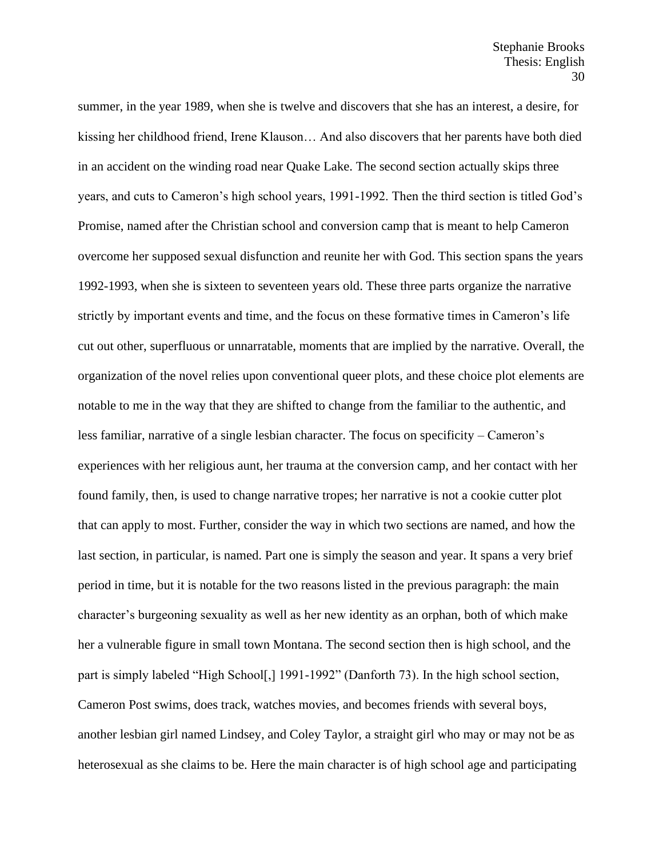summer, in the year 1989, when she is twelve and discovers that she has an interest, a desire, for kissing her childhood friend, Irene Klauson… And also discovers that her parents have both died in an accident on the winding road near Quake Lake. The second section actually skips three years, and cuts to Cameron's high school years, 1991-1992. Then the third section is titled God's Promise, named after the Christian school and conversion camp that is meant to help Cameron overcome her supposed sexual disfunction and reunite her with God. This section spans the years 1992-1993, when she is sixteen to seventeen years old. These three parts organize the narrative strictly by important events and time, and the focus on these formative times in Cameron's life cut out other, superfluous or unnarratable, moments that are implied by the narrative. Overall, the organization of the novel relies upon conventional queer plots, and these choice plot elements are notable to me in the way that they are shifted to change from the familiar to the authentic, and less familiar, narrative of a single lesbian character. The focus on specificity – Cameron's experiences with her religious aunt, her trauma at the conversion camp, and her contact with her found family, then, is used to change narrative tropes; her narrative is not a cookie cutter plot that can apply to most. Further, consider the way in which two sections are named, and how the last section, in particular, is named. Part one is simply the season and year. It spans a very brief period in time, but it is notable for the two reasons listed in the previous paragraph: the main character's burgeoning sexuality as well as her new identity as an orphan, both of which make her a vulnerable figure in small town Montana. The second section then is high school, and the part is simply labeled "High School[,] 1991-1992" (Danforth 73). In the high school section, Cameron Post swims, does track, watches movies, and becomes friends with several boys, another lesbian girl named Lindsey, and Coley Taylor, a straight girl who may or may not be as heterosexual as she claims to be. Here the main character is of high school age and participating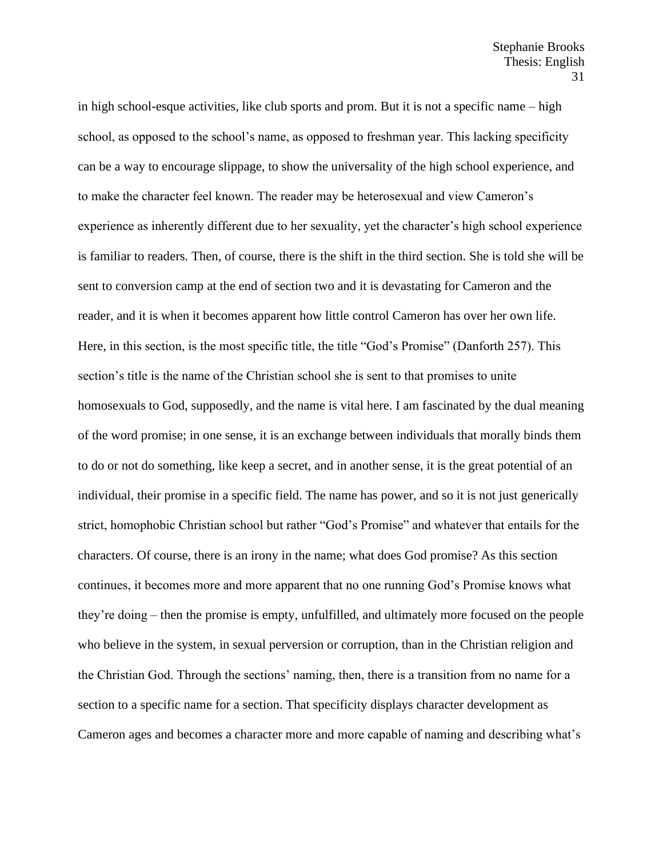in high school-esque activities, like club sports and prom. But it is not a specific name – high school, as opposed to the school's name, as opposed to freshman year. This lacking specificity can be a way to encourage slippage, to show the universality of the high school experience, and to make the character feel known. The reader may be heterosexual and view Cameron's experience as inherently different due to her sexuality, yet the character's high school experience is familiar to readers. Then, of course, there is the shift in the third section. She is told she will be sent to conversion camp at the end of section two and it is devastating for Cameron and the reader, and it is when it becomes apparent how little control Cameron has over her own life. Here, in this section, is the most specific title, the title "God's Promise" (Danforth 257). This section's title is the name of the Christian school she is sent to that promises to unite homosexuals to God, supposedly, and the name is vital here. I am fascinated by the dual meaning of the word promise; in one sense, it is an exchange between individuals that morally binds them to do or not do something, like keep a secret, and in another sense, it is the great potential of an individual, their promise in a specific field. The name has power, and so it is not just generically strict, homophobic Christian school but rather "God's Promise" and whatever that entails for the characters. Of course, there is an irony in the name; what does God promise? As this section continues, it becomes more and more apparent that no one running God's Promise knows what they're doing – then the promise is empty, unfulfilled, and ultimately more focused on the people who believe in the system, in sexual perversion or corruption, than in the Christian religion and the Christian God. Through the sections' naming, then, there is a transition from no name for a section to a specific name for a section. That specificity displays character development as Cameron ages and becomes a character more and more capable of naming and describing what's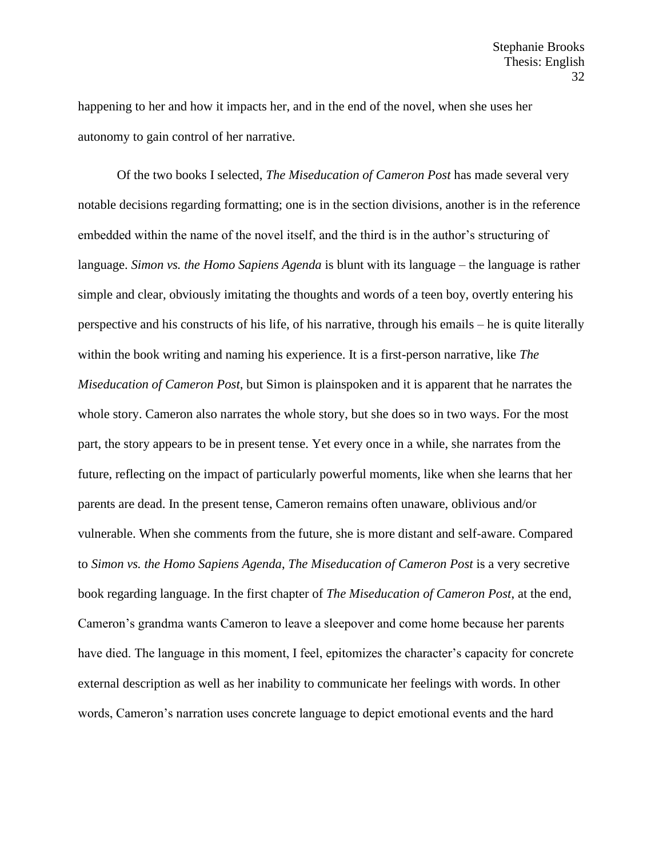happening to her and how it impacts her, and in the end of the novel, when she uses her autonomy to gain control of her narrative.

Of the two books I selected, *The Miseducation of Cameron Post* has made several very notable decisions regarding formatting; one is in the section divisions, another is in the reference embedded within the name of the novel itself, and the third is in the author's structuring of language. *Simon vs. the Homo Sapiens Agenda* is blunt with its language – the language is rather simple and clear, obviously imitating the thoughts and words of a teen boy, overtly entering his perspective and his constructs of his life, of his narrative, through his emails – he is quite literally within the book writing and naming his experience. It is a first-person narrative, like *The Miseducation of Cameron Post*, but Simon is plainspoken and it is apparent that he narrates the whole story. Cameron also narrates the whole story, but she does so in two ways. For the most part, the story appears to be in present tense. Yet every once in a while, she narrates from the future, reflecting on the impact of particularly powerful moments, like when she learns that her parents are dead. In the present tense, Cameron remains often unaware, oblivious and/or vulnerable. When she comments from the future, she is more distant and self-aware. Compared to *Simon vs. the Homo Sapiens Agenda*, *The Miseducation of Cameron Post* is a very secretive book regarding language. In the first chapter of *The Miseducation of Cameron Post*, at the end, Cameron's grandma wants Cameron to leave a sleepover and come home because her parents have died. The language in this moment, I feel, epitomizes the character's capacity for concrete external description as well as her inability to communicate her feelings with words. In other words, Cameron's narration uses concrete language to depict emotional events and the hard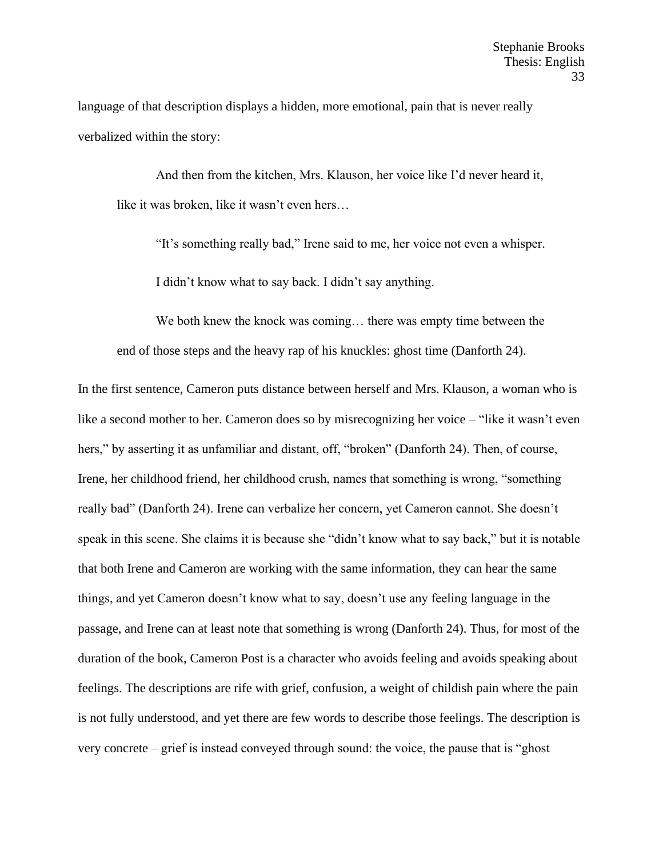language of that description displays a hidden, more emotional, pain that is never really verbalized within the story:

And then from the kitchen, Mrs. Klauson, her voice like I'd never heard it, like it was broken, like it wasn't even hers…

"It's something really bad," Irene said to me, her voice not even a whisper.

I didn't know what to say back. I didn't say anything.

We both knew the knock was coming… there was empty time between the end of those steps and the heavy rap of his knuckles: ghost time (Danforth 24).

In the first sentence, Cameron puts distance between herself and Mrs. Klauson, a woman who is like a second mother to her. Cameron does so by misrecognizing her voice – "like it wasn't even hers," by asserting it as unfamiliar and distant, off, "broken" (Danforth 24). Then, of course, Irene, her childhood friend, her childhood crush, names that something is wrong, "something really bad" (Danforth 24). Irene can verbalize her concern, yet Cameron cannot. She doesn't speak in this scene. She claims it is because she "didn't know what to say back," but it is notable that both Irene and Cameron are working with the same information, they can hear the same things, and yet Cameron doesn't know what to say, doesn't use any feeling language in the passage, and Irene can at least note that something is wrong (Danforth 24). Thus, for most of the duration of the book, Cameron Post is a character who avoids feeling and avoids speaking about feelings. The descriptions are rife with grief, confusion, a weight of childish pain where the pain is not fully understood, and yet there are few words to describe those feelings. The description is very concrete – grief is instead conveyed through sound: the voice, the pause that is "ghost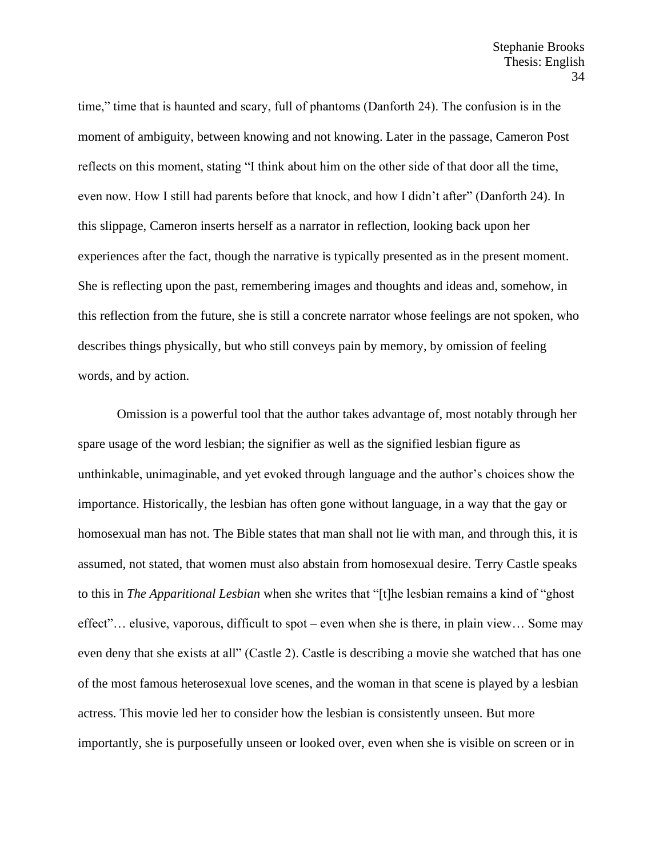time," time that is haunted and scary, full of phantoms (Danforth 24). The confusion is in the moment of ambiguity, between knowing and not knowing. Later in the passage, Cameron Post reflects on this moment, stating "I think about him on the other side of that door all the time, even now. How I still had parents before that knock, and how I didn't after" (Danforth 24). In this slippage, Cameron inserts herself as a narrator in reflection, looking back upon her experiences after the fact, though the narrative is typically presented as in the present moment. She is reflecting upon the past, remembering images and thoughts and ideas and, somehow, in this reflection from the future, she is still a concrete narrator whose feelings are not spoken, who describes things physically, but who still conveys pain by memory, by omission of feeling words, and by action.

Omission is a powerful tool that the author takes advantage of, most notably through her spare usage of the word lesbian; the signifier as well as the signified lesbian figure as unthinkable, unimaginable, and yet evoked through language and the author's choices show the importance. Historically, the lesbian has often gone without language, in a way that the gay or homosexual man has not. The Bible states that man shall not lie with man, and through this, it is assumed, not stated, that women must also abstain from homosexual desire. Terry Castle speaks to this in *The Apparitional Lesbian* when she writes that "[t]he lesbian remains a kind of "ghost effect"… elusive, vaporous, difficult to spot – even when she is there, in plain view… Some may even deny that she exists at all" (Castle 2). Castle is describing a movie she watched that has one of the most famous heterosexual love scenes, and the woman in that scene is played by a lesbian actress. This movie led her to consider how the lesbian is consistently unseen. But more importantly, she is purposefully unseen or looked over, even when she is visible on screen or in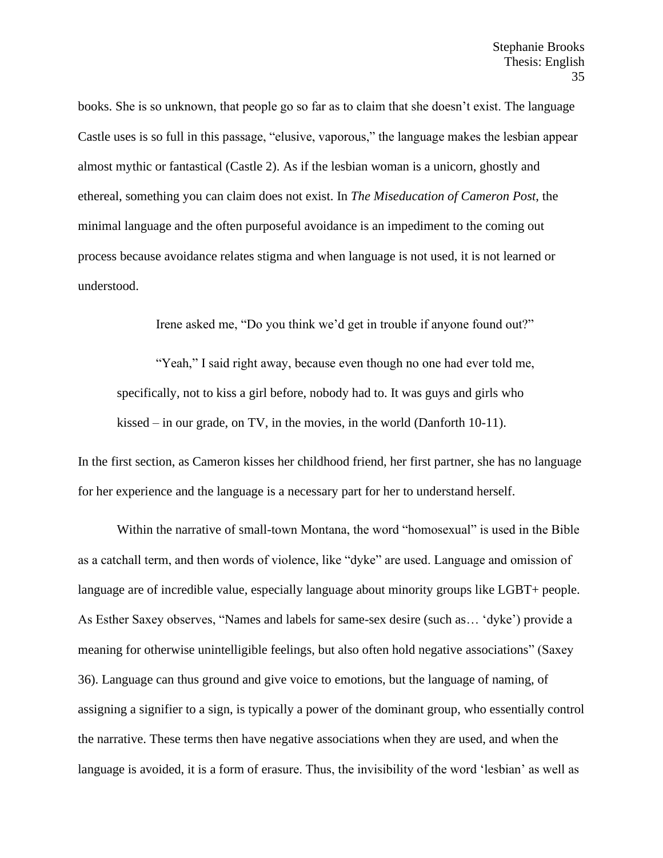books. She is so unknown, that people go so far as to claim that she doesn't exist. The language Castle uses is so full in this passage, "elusive, vaporous," the language makes the lesbian appear almost mythic or fantastical (Castle 2). As if the lesbian woman is a unicorn, ghostly and ethereal, something you can claim does not exist. In *The Miseducation of Cameron Post*, the minimal language and the often purposeful avoidance is an impediment to the coming out process because avoidance relates stigma and when language is not used, it is not learned or understood.

Irene asked me, "Do you think we'd get in trouble if anyone found out?"

"Yeah," I said right away, because even though no one had ever told me, specifically, not to kiss a girl before, nobody had to. It was guys and girls who kissed – in our grade, on TV, in the movies, in the world (Danforth 10-11).

In the first section, as Cameron kisses her childhood friend, her first partner, she has no language for her experience and the language is a necessary part for her to understand herself.

Within the narrative of small-town Montana, the word "homosexual" is used in the Bible as a catchall term, and then words of violence, like "dyke" are used. Language and omission of language are of incredible value, especially language about minority groups like LGBT+ people. As Esther Saxey observes, "Names and labels for same-sex desire (such as… 'dyke') provide a meaning for otherwise unintelligible feelings, but also often hold negative associations" (Saxey 36). Language can thus ground and give voice to emotions, but the language of naming, of assigning a signifier to a sign, is typically a power of the dominant group, who essentially control the narrative. These terms then have negative associations when they are used, and when the language is avoided, it is a form of erasure. Thus, the invisibility of the word 'lesbian' as well as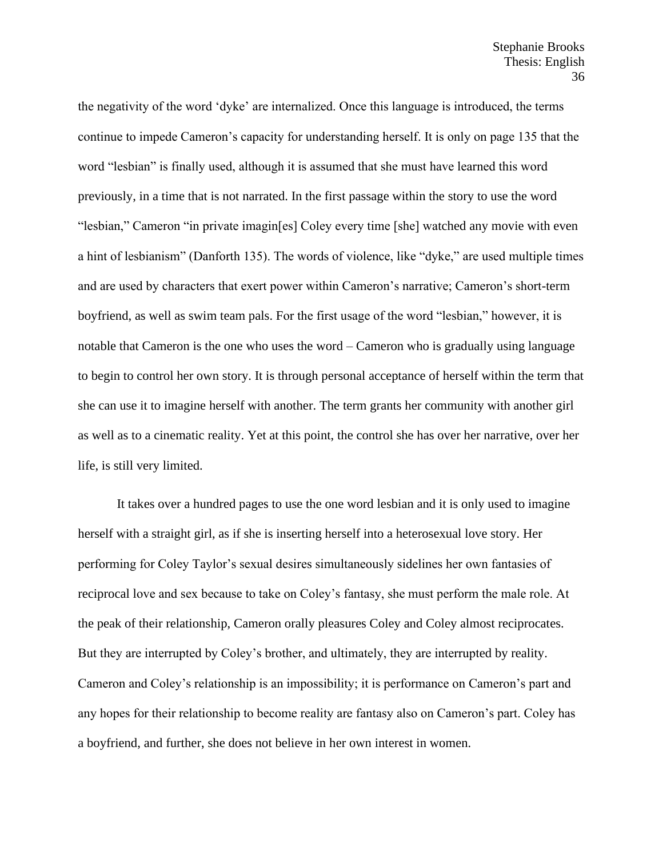the negativity of the word 'dyke' are internalized. Once this language is introduced, the terms continue to impede Cameron's capacity for understanding herself. It is only on page 135 that the word "lesbian" is finally used, although it is assumed that she must have learned this word previously, in a time that is not narrated. In the first passage within the story to use the word "lesbian," Cameron "in private imagin[es] Coley every time [she] watched any movie with even a hint of lesbianism" (Danforth 135). The words of violence, like "dyke," are used multiple times and are used by characters that exert power within Cameron's narrative; Cameron's short-term boyfriend, as well as swim team pals. For the first usage of the word "lesbian," however, it is notable that Cameron is the one who uses the word – Cameron who is gradually using language to begin to control her own story. It is through personal acceptance of herself within the term that she can use it to imagine herself with another. The term grants her community with another girl as well as to a cinematic reality. Yet at this point, the control she has over her narrative, over her life, is still very limited.

It takes over a hundred pages to use the one word lesbian and it is only used to imagine herself with a straight girl, as if she is inserting herself into a heterosexual love story. Her performing for Coley Taylor's sexual desires simultaneously sidelines her own fantasies of reciprocal love and sex because to take on Coley's fantasy, she must perform the male role. At the peak of their relationship, Cameron orally pleasures Coley and Coley almost reciprocates. But they are interrupted by Coley's brother, and ultimately, they are interrupted by reality. Cameron and Coley's relationship is an impossibility; it is performance on Cameron's part and any hopes for their relationship to become reality are fantasy also on Cameron's part. Coley has a boyfriend, and further, she does not believe in her own interest in women.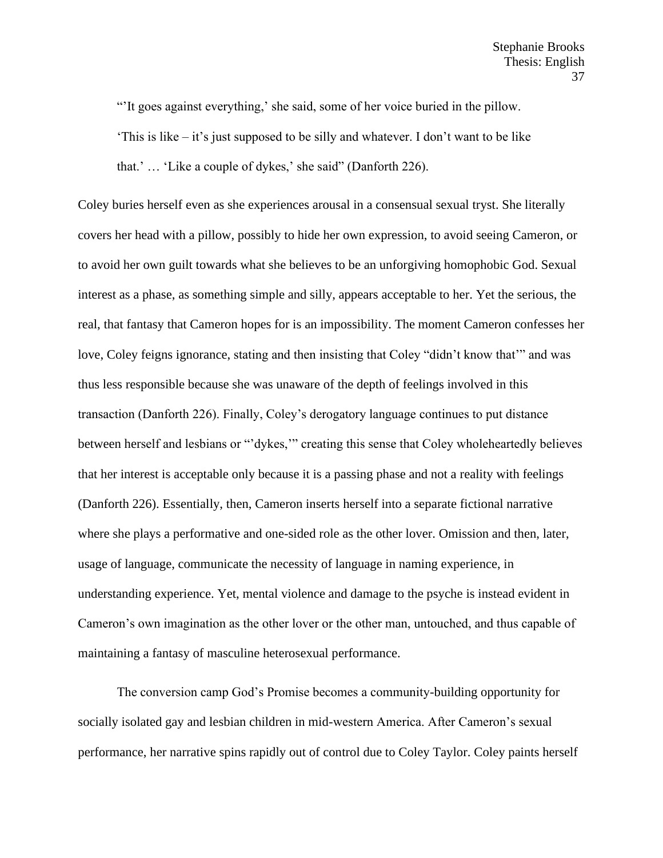"'It goes against everything,' she said, some of her voice buried in the pillow.

'This is like – it's just supposed to be silly and whatever. I don't want to be like that.' … 'Like a couple of dykes,' she said" (Danforth 226).

Coley buries herself even as she experiences arousal in a consensual sexual tryst. She literally covers her head with a pillow, possibly to hide her own expression, to avoid seeing Cameron, or to avoid her own guilt towards what she believes to be an unforgiving homophobic God. Sexual interest as a phase, as something simple and silly, appears acceptable to her. Yet the serious, the real, that fantasy that Cameron hopes for is an impossibility. The moment Cameron confesses her love, Coley feigns ignorance, stating and then insisting that Coley "didn't know that'" and was thus less responsible because she was unaware of the depth of feelings involved in this transaction (Danforth 226). Finally, Coley's derogatory language continues to put distance between herself and lesbians or "'dykes,'" creating this sense that Coley wholeheartedly believes that her interest is acceptable only because it is a passing phase and not a reality with feelings (Danforth 226). Essentially, then, Cameron inserts herself into a separate fictional narrative where she plays a performative and one-sided role as the other lover. Omission and then, later, usage of language, communicate the necessity of language in naming experience, in understanding experience. Yet, mental violence and damage to the psyche is instead evident in Cameron's own imagination as the other lover or the other man, untouched, and thus capable of maintaining a fantasy of masculine heterosexual performance.

The conversion camp God's Promise becomes a community-building opportunity for socially isolated gay and lesbian children in mid-western America. After Cameron's sexual performance, her narrative spins rapidly out of control due to Coley Taylor. Coley paints herself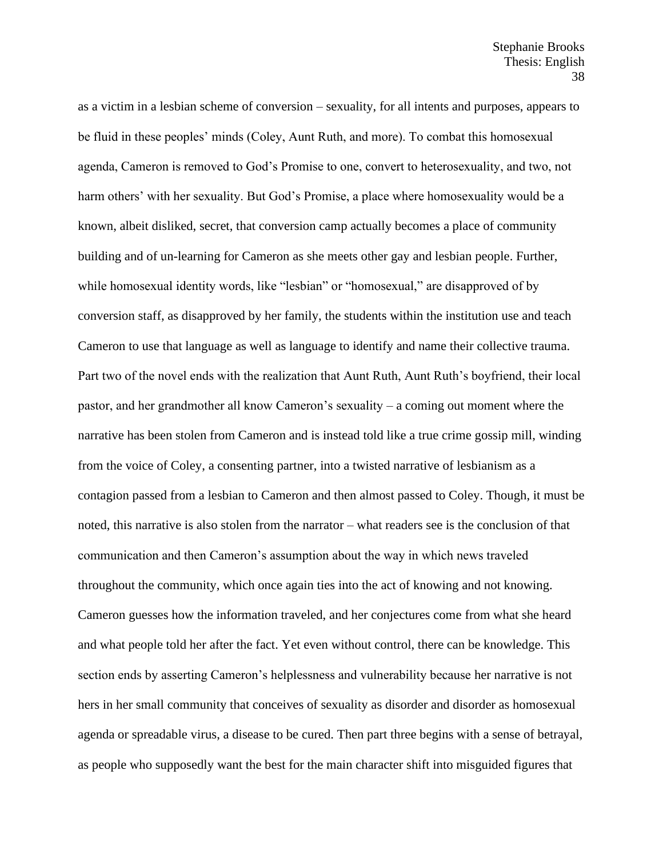as a victim in a lesbian scheme of conversion – sexuality, for all intents and purposes, appears to be fluid in these peoples' minds (Coley, Aunt Ruth, and more). To combat this homosexual agenda, Cameron is removed to God's Promise to one, convert to heterosexuality, and two, not harm others' with her sexuality. But God's Promise, a place where homosexuality would be a known, albeit disliked, secret, that conversion camp actually becomes a place of community building and of un-learning for Cameron as she meets other gay and lesbian people. Further, while homosexual identity words, like "lesbian" or "homosexual," are disapproved of by conversion staff, as disapproved by her family, the students within the institution use and teach Cameron to use that language as well as language to identify and name their collective trauma. Part two of the novel ends with the realization that Aunt Ruth, Aunt Ruth's boyfriend, their local pastor, and her grandmother all know Cameron's sexuality – a coming out moment where the narrative has been stolen from Cameron and is instead told like a true crime gossip mill, winding from the voice of Coley, a consenting partner, into a twisted narrative of lesbianism as a contagion passed from a lesbian to Cameron and then almost passed to Coley. Though, it must be noted, this narrative is also stolen from the narrator – what readers see is the conclusion of that communication and then Cameron's assumption about the way in which news traveled throughout the community, which once again ties into the act of knowing and not knowing. Cameron guesses how the information traveled, and her conjectures come from what she heard and what people told her after the fact. Yet even without control, there can be knowledge. This section ends by asserting Cameron's helplessness and vulnerability because her narrative is not hers in her small community that conceives of sexuality as disorder and disorder as homosexual agenda or spreadable virus, a disease to be cured. Then part three begins with a sense of betrayal, as people who supposedly want the best for the main character shift into misguided figures that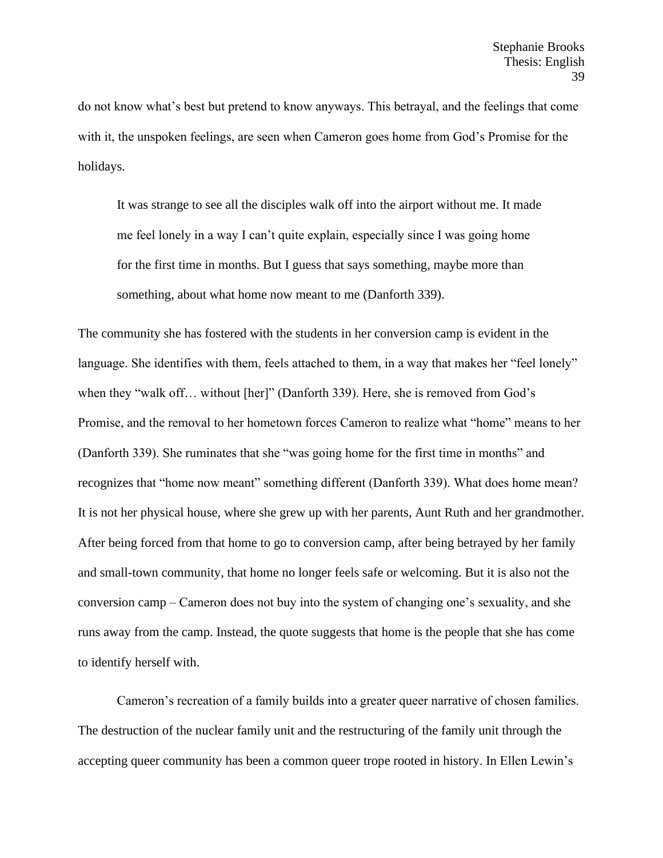do not know what's best but pretend to know anyways. This betrayal, and the feelings that come with it, the unspoken feelings, are seen when Cameron goes home from God's Promise for the holidays.

It was strange to see all the disciples walk off into the airport without me. It made me feel lonely in a way I can't quite explain, especially since I was going home for the first time in months. But I guess that says something, maybe more than something, about what home now meant to me (Danforth 339).

The community she has fostered with the students in her conversion camp is evident in the language. She identifies with them, feels attached to them, in a way that makes her "feel lonely" when they "walk off… without [her]" (Danforth 339). Here, she is removed from God's Promise, and the removal to her hometown forces Cameron to realize what "home" means to her (Danforth 339). She ruminates that she "was going home for the first time in months" and recognizes that "home now meant" something different (Danforth 339). What does home mean? It is not her physical house, where she grew up with her parents, Aunt Ruth and her grandmother. After being forced from that home to go to conversion camp, after being betrayed by her family and small-town community, that home no longer feels safe or welcoming. But it is also not the conversion camp – Cameron does not buy into the system of changing one's sexuality, and she runs away from the camp. Instead, the quote suggests that home is the people that she has come to identify herself with.

Cameron's recreation of a family builds into a greater queer narrative of chosen families. The destruction of the nuclear family unit and the restructuring of the family unit through the accepting queer community has been a common queer trope rooted in history. In Ellen Lewin's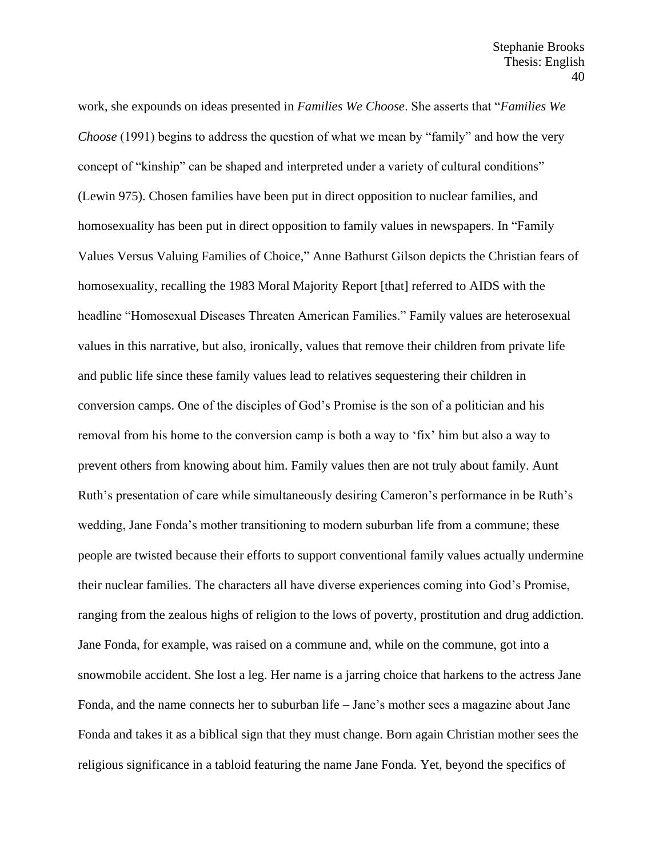work, she expounds on ideas presented in *Families We Choose*. She asserts that "*Families We Choose* (1991) begins to address the question of what we mean by "family" and how the very concept of "kinship" can be shaped and interpreted under a variety of cultural conditions" (Lewin 975). Chosen families have been put in direct opposition to nuclear families, and homosexuality has been put in direct opposition to family values in newspapers. In "Family Values Versus Valuing Families of Choice," Anne Bathurst Gilson depicts the Christian fears of homosexuality, recalling the 1983 Moral Majority Report [that] referred to AIDS with the headline "Homosexual Diseases Threaten American Families." Family values are heterosexual values in this narrative, but also, ironically, values that remove their children from private life and public life since these family values lead to relatives sequestering their children in conversion camps. One of the disciples of God's Promise is the son of a politician and his removal from his home to the conversion camp is both a way to 'fix' him but also a way to prevent others from knowing about him. Family values then are not truly about family. Aunt Ruth's presentation of care while simultaneously desiring Cameron's performance in be Ruth's wedding, Jane Fonda's mother transitioning to modern suburban life from a commune; these people are twisted because their efforts to support conventional family values actually undermine their nuclear families. The characters all have diverse experiences coming into God's Promise, ranging from the zealous highs of religion to the lows of poverty, prostitution and drug addiction. Jane Fonda, for example, was raised on a commune and, while on the commune, got into a snowmobile accident. She lost a leg. Her name is a jarring choice that harkens to the actress Jane Fonda, and the name connects her to suburban life – Jane's mother sees a magazine about Jane Fonda and takes it as a biblical sign that they must change. Born again Christian mother sees the religious significance in a tabloid featuring the name Jane Fonda. Yet, beyond the specifics of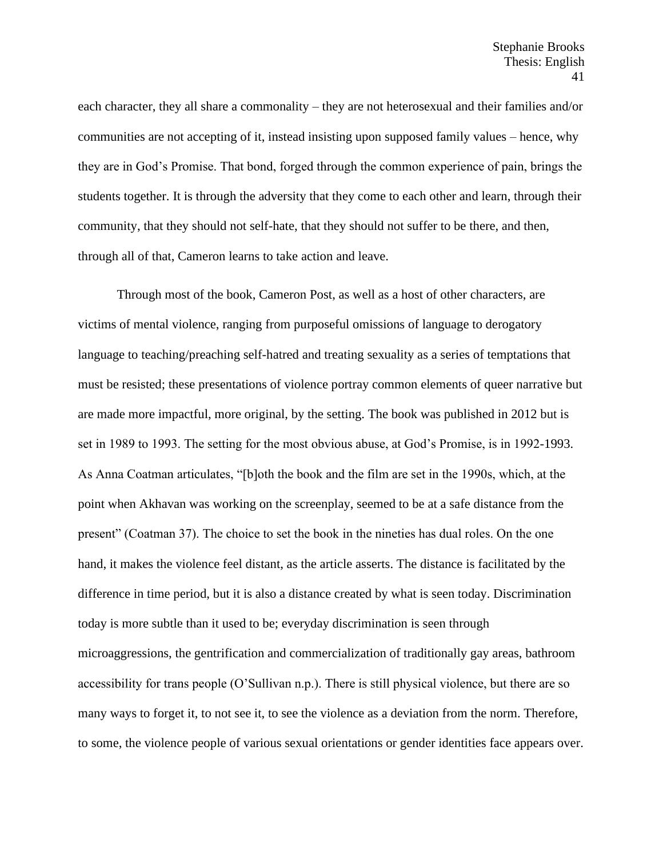each character, they all share a commonality – they are not heterosexual and their families and/or communities are not accepting of it, instead insisting upon supposed family values – hence, why they are in God's Promise. That bond, forged through the common experience of pain, brings the students together. It is through the adversity that they come to each other and learn, through their community, that they should not self-hate, that they should not suffer to be there, and then, through all of that, Cameron learns to take action and leave.

Through most of the book, Cameron Post, as well as a host of other characters, are victims of mental violence, ranging from purposeful omissions of language to derogatory language to teaching/preaching self-hatred and treating sexuality as a series of temptations that must be resisted; these presentations of violence portray common elements of queer narrative but are made more impactful, more original, by the setting. The book was published in 2012 but is set in 1989 to 1993. The setting for the most obvious abuse, at God's Promise, is in 1992-1993. As Anna Coatman articulates, "[b]oth the book and the film are set in the 1990s, which, at the point when Akhavan was working on the screenplay, seemed to be at a safe distance from the present" (Coatman 37). The choice to set the book in the nineties has dual roles. On the one hand, it makes the violence feel distant, as the article asserts. The distance is facilitated by the difference in time period, but it is also a distance created by what is seen today. Discrimination today is more subtle than it used to be; everyday discrimination is seen through microaggressions, the gentrification and commercialization of traditionally gay areas, bathroom accessibility for trans people (O'Sullivan n.p.). There is still physical violence, but there are so many ways to forget it, to not see it, to see the violence as a deviation from the norm. Therefore, to some, the violence people of various sexual orientations or gender identities face appears over.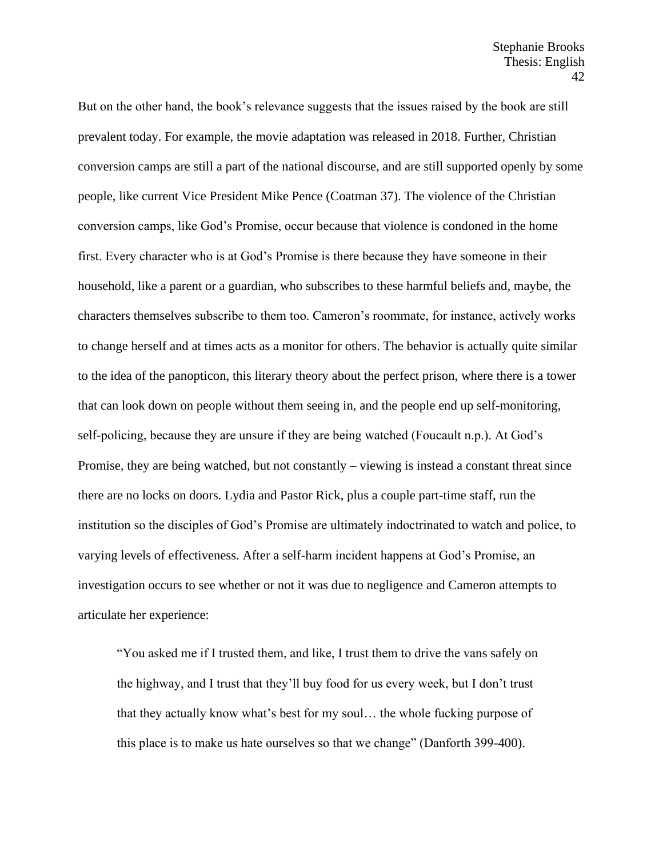But on the other hand, the book's relevance suggests that the issues raised by the book are still prevalent today. For example, the movie adaptation was released in 2018. Further, Christian conversion camps are still a part of the national discourse, and are still supported openly by some people, like current Vice President Mike Pence (Coatman 37). The violence of the Christian conversion camps, like God's Promise, occur because that violence is condoned in the home first. Every character who is at God's Promise is there because they have someone in their household, like a parent or a guardian, who subscribes to these harmful beliefs and, maybe, the characters themselves subscribe to them too. Cameron's roommate, for instance, actively works to change herself and at times acts as a monitor for others. The behavior is actually quite similar to the idea of the panopticon, this literary theory about the perfect prison, where there is a tower that can look down on people without them seeing in, and the people end up self-monitoring, self-policing, because they are unsure if they are being watched (Foucault n.p.). At God's Promise, they are being watched, but not constantly – viewing is instead a constant threat since there are no locks on doors. Lydia and Pastor Rick, plus a couple part-time staff, run the institution so the disciples of God's Promise are ultimately indoctrinated to watch and police, to varying levels of effectiveness. After a self-harm incident happens at God's Promise, an investigation occurs to see whether or not it was due to negligence and Cameron attempts to articulate her experience:

"You asked me if I trusted them, and like, I trust them to drive the vans safely on the highway, and I trust that they'll buy food for us every week, but I don't trust that they actually know what's best for my soul… the whole fucking purpose of this place is to make us hate ourselves so that we change" (Danforth 399-400).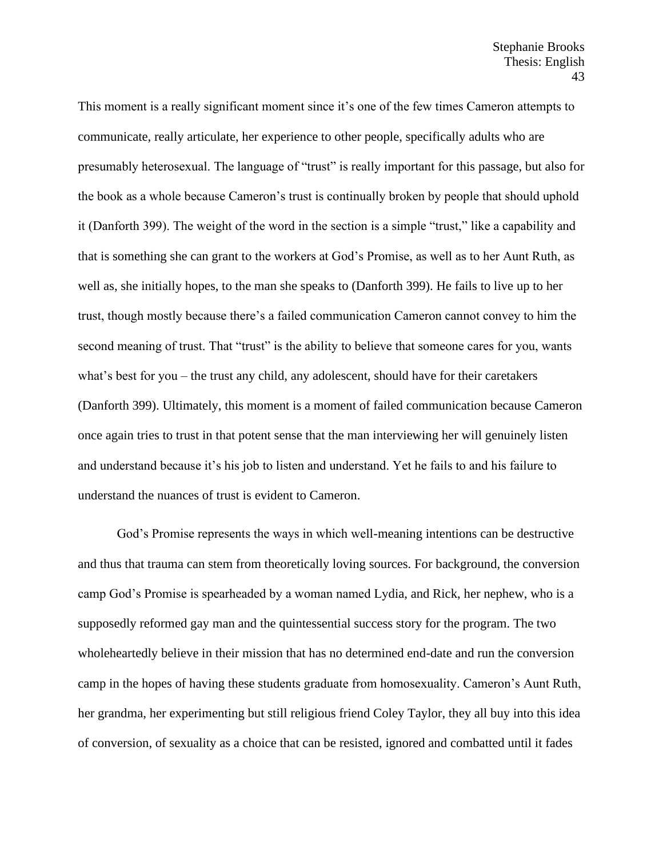This moment is a really significant moment since it's one of the few times Cameron attempts to communicate, really articulate, her experience to other people, specifically adults who are presumably heterosexual. The language of "trust" is really important for this passage, but also for the book as a whole because Cameron's trust is continually broken by people that should uphold it (Danforth 399). The weight of the word in the section is a simple "trust," like a capability and that is something she can grant to the workers at God's Promise, as well as to her Aunt Ruth, as well as, she initially hopes, to the man she speaks to (Danforth 399). He fails to live up to her trust, though mostly because there's a failed communication Cameron cannot convey to him the second meaning of trust. That "trust" is the ability to believe that someone cares for you, wants what's best for you – the trust any child, any adolescent, should have for their caretakers (Danforth 399). Ultimately, this moment is a moment of failed communication because Cameron once again tries to trust in that potent sense that the man interviewing her will genuinely listen and understand because it's his job to listen and understand. Yet he fails to and his failure to understand the nuances of trust is evident to Cameron.

God's Promise represents the ways in which well-meaning intentions can be destructive and thus that trauma can stem from theoretically loving sources. For background, the conversion camp God's Promise is spearheaded by a woman named Lydia, and Rick, her nephew, who is a supposedly reformed gay man and the quintessential success story for the program. The two wholeheartedly believe in their mission that has no determined end-date and run the conversion camp in the hopes of having these students graduate from homosexuality. Cameron's Aunt Ruth, her grandma, her experimenting but still religious friend Coley Taylor, they all buy into this idea of conversion, of sexuality as a choice that can be resisted, ignored and combatted until it fades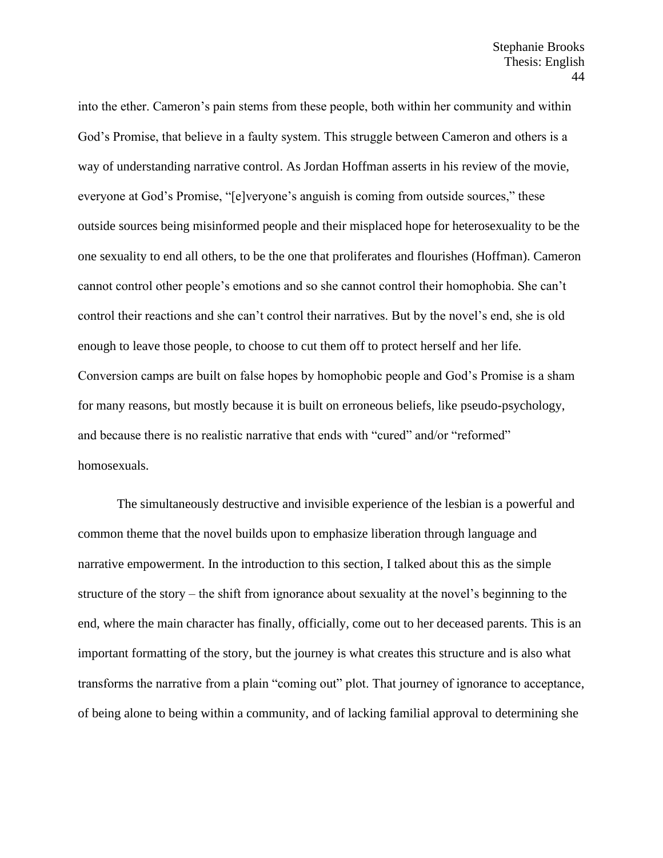into the ether. Cameron's pain stems from these people, both within her community and within God's Promise, that believe in a faulty system. This struggle between Cameron and others is a way of understanding narrative control. As Jordan Hoffman asserts in his review of the movie, everyone at God's Promise, "[e]veryone's anguish is coming from outside sources," these outside sources being misinformed people and their misplaced hope for heterosexuality to be the one sexuality to end all others, to be the one that proliferates and flourishes (Hoffman). Cameron cannot control other people's emotions and so she cannot control their homophobia. She can't control their reactions and she can't control their narratives. But by the novel's end, she is old enough to leave those people, to choose to cut them off to protect herself and her life. Conversion camps are built on false hopes by homophobic people and God's Promise is a sham for many reasons, but mostly because it is built on erroneous beliefs, like pseudo-psychology, and because there is no realistic narrative that ends with "cured" and/or "reformed" homosexuals.

The simultaneously destructive and invisible experience of the lesbian is a powerful and common theme that the novel builds upon to emphasize liberation through language and narrative empowerment. In the introduction to this section, I talked about this as the simple structure of the story – the shift from ignorance about sexuality at the novel's beginning to the end, where the main character has finally, officially, come out to her deceased parents. This is an important formatting of the story, but the journey is what creates this structure and is also what transforms the narrative from a plain "coming out" plot. That journey of ignorance to acceptance, of being alone to being within a community, and of lacking familial approval to determining she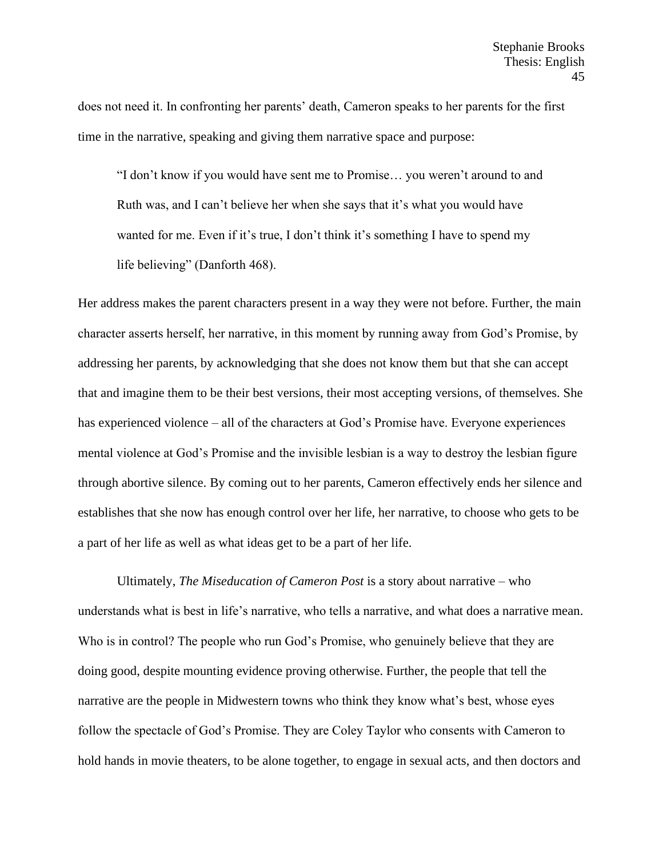does not need it. In confronting her parents' death, Cameron speaks to her parents for the first time in the narrative, speaking and giving them narrative space and purpose:

"I don't know if you would have sent me to Promise… you weren't around to and Ruth was, and I can't believe her when she says that it's what you would have wanted for me. Even if it's true, I don't think it's something I have to spend my life believing" (Danforth 468).

Her address makes the parent characters present in a way they were not before. Further, the main character asserts herself, her narrative, in this moment by running away from God's Promise, by addressing her parents, by acknowledging that she does not know them but that she can accept that and imagine them to be their best versions, their most accepting versions, of themselves. She has experienced violence – all of the characters at God's Promise have. Everyone experiences mental violence at God's Promise and the invisible lesbian is a way to destroy the lesbian figure through abortive silence. By coming out to her parents, Cameron effectively ends her silence and establishes that she now has enough control over her life, her narrative, to choose who gets to be a part of her life as well as what ideas get to be a part of her life.

Ultimately, *The Miseducation of Cameron Post* is a story about narrative – who understands what is best in life's narrative, who tells a narrative, and what does a narrative mean. Who is in control? The people who run God's Promise, who genuinely believe that they are doing good, despite mounting evidence proving otherwise. Further, the people that tell the narrative are the people in Midwestern towns who think they know what's best, whose eyes follow the spectacle of God's Promise. They are Coley Taylor who consents with Cameron to hold hands in movie theaters, to be alone together, to engage in sexual acts, and then doctors and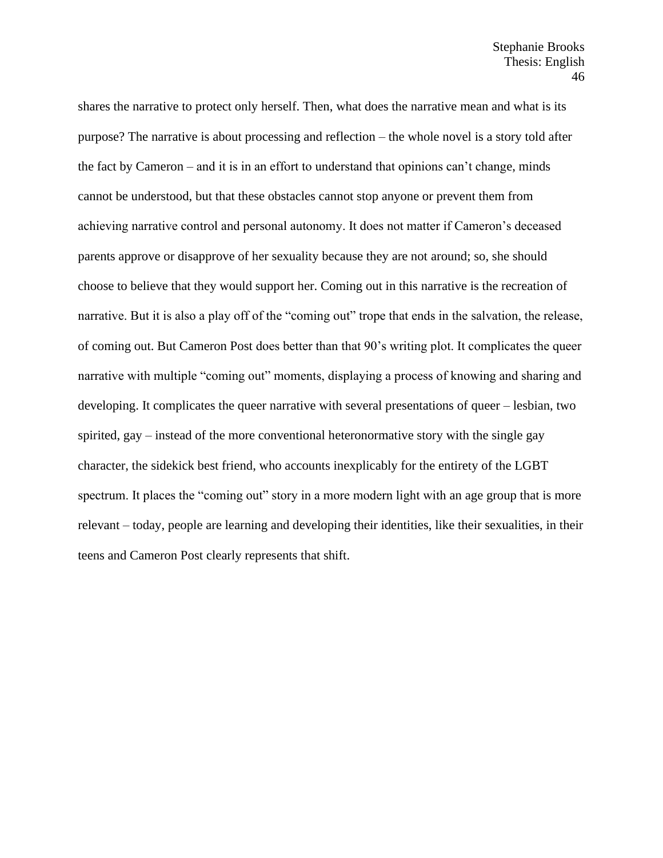shares the narrative to protect only herself. Then, what does the narrative mean and what is its purpose? The narrative is about processing and reflection – the whole novel is a story told after the fact by Cameron – and it is in an effort to understand that opinions can't change, minds cannot be understood, but that these obstacles cannot stop anyone or prevent them from achieving narrative control and personal autonomy. It does not matter if Cameron's deceased parents approve or disapprove of her sexuality because they are not around; so, she should choose to believe that they would support her. Coming out in this narrative is the recreation of narrative. But it is also a play off of the "coming out" trope that ends in the salvation, the release, of coming out. But Cameron Post does better than that 90's writing plot. It complicates the queer narrative with multiple "coming out" moments, displaying a process of knowing and sharing and developing. It complicates the queer narrative with several presentations of queer – lesbian, two spirited, gay – instead of the more conventional heteronormative story with the single gay character, the sidekick best friend, who accounts inexplicably for the entirety of the LGBT spectrum. It places the "coming out" story in a more modern light with an age group that is more relevant – today, people are learning and developing their identities, like their sexualities, in their teens and Cameron Post clearly represents that shift.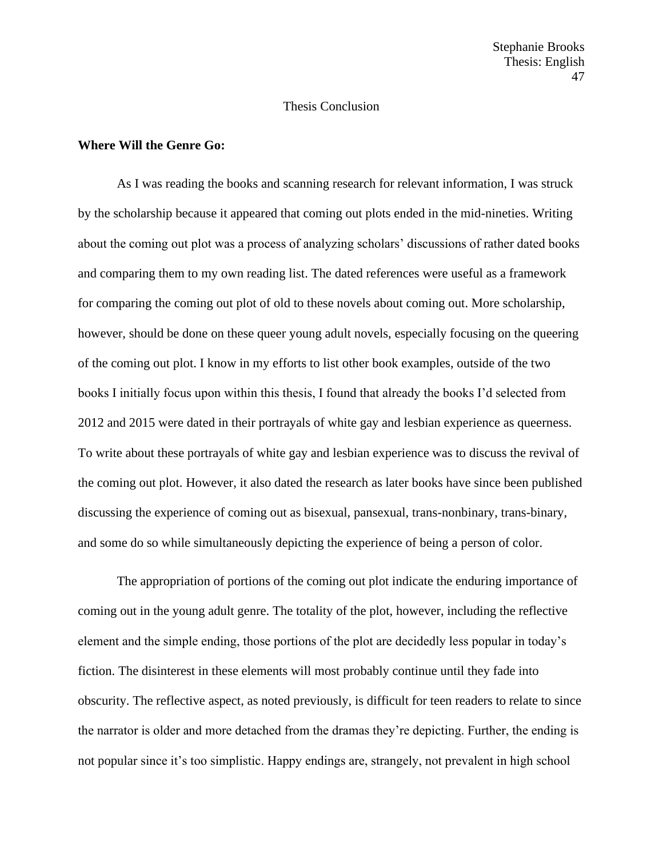# Thesis Conclusion

## **Where Will the Genre Go:**

As I was reading the books and scanning research for relevant information, I was struck by the scholarship because it appeared that coming out plots ended in the mid-nineties. Writing about the coming out plot was a process of analyzing scholars' discussions of rather dated books and comparing them to my own reading list. The dated references were useful as a framework for comparing the coming out plot of old to these novels about coming out. More scholarship, however, should be done on these queer young adult novels, especially focusing on the queering of the coming out plot. I know in my efforts to list other book examples, outside of the two books I initially focus upon within this thesis, I found that already the books I'd selected from 2012 and 2015 were dated in their portrayals of white gay and lesbian experience as queerness. To write about these portrayals of white gay and lesbian experience was to discuss the revival of the coming out plot. However, it also dated the research as later books have since been published discussing the experience of coming out as bisexual, pansexual, trans-nonbinary, trans-binary, and some do so while simultaneously depicting the experience of being a person of color.

The appropriation of portions of the coming out plot indicate the enduring importance of coming out in the young adult genre. The totality of the plot, however, including the reflective element and the simple ending, those portions of the plot are decidedly less popular in today's fiction. The disinterest in these elements will most probably continue until they fade into obscurity. The reflective aspect, as noted previously, is difficult for teen readers to relate to since the narrator is older and more detached from the dramas they're depicting. Further, the ending is not popular since it's too simplistic. Happy endings are, strangely, not prevalent in high school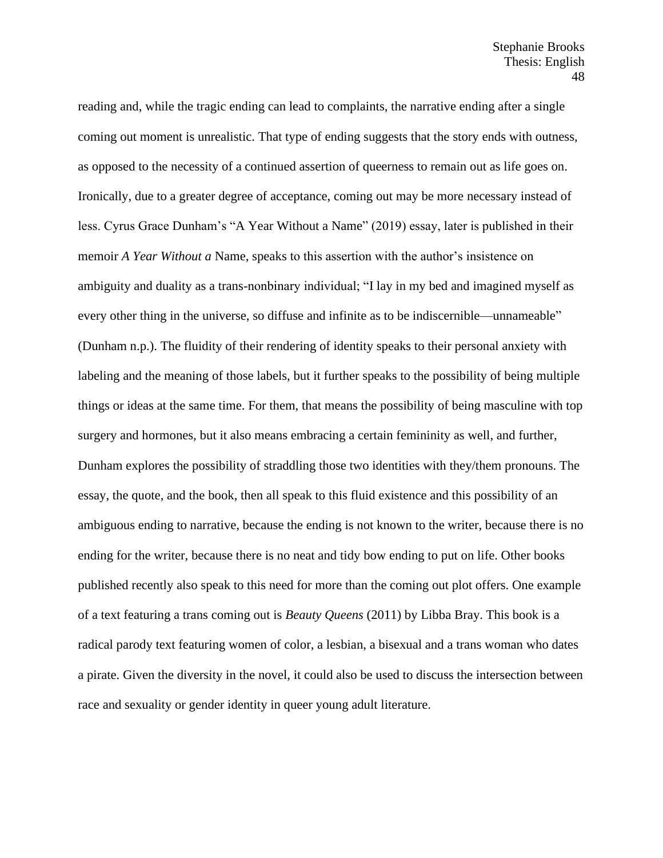reading and, while the tragic ending can lead to complaints, the narrative ending after a single coming out moment is unrealistic. That type of ending suggests that the story ends with outness, as opposed to the necessity of a continued assertion of queerness to remain out as life goes on. Ironically, due to a greater degree of acceptance, coming out may be more necessary instead of less. Cyrus Grace Dunham's "A Year Without a Name" (2019) essay, later is published in their memoir *A Year Without a* Name, speaks to this assertion with the author's insistence on ambiguity and duality as a trans-nonbinary individual; "I lay in my bed and imagined myself as every other thing in the universe, so diffuse and infinite as to be indiscernible—unnameable" (Dunham n.p.). The fluidity of their rendering of identity speaks to their personal anxiety with labeling and the meaning of those labels, but it further speaks to the possibility of being multiple things or ideas at the same time. For them, that means the possibility of being masculine with top surgery and hormones, but it also means embracing a certain femininity as well, and further, Dunham explores the possibility of straddling those two identities with they/them pronouns. The essay, the quote, and the book, then all speak to this fluid existence and this possibility of an ambiguous ending to narrative, because the ending is not known to the writer, because there is no ending for the writer, because there is no neat and tidy bow ending to put on life. Other books published recently also speak to this need for more than the coming out plot offers. One example of a text featuring a trans coming out is *Beauty Queens* (2011) by Libba Bray. This book is a radical parody text featuring women of color, a lesbian, a bisexual and a trans woman who dates a pirate. Given the diversity in the novel, it could also be used to discuss the intersection between race and sexuality or gender identity in queer young adult literature.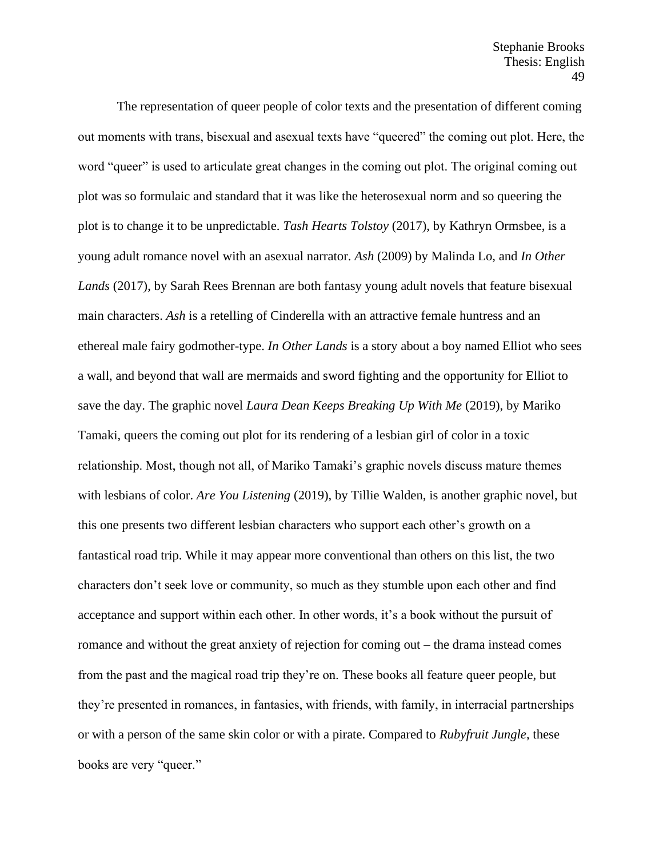The representation of queer people of color texts and the presentation of different coming out moments with trans, bisexual and asexual texts have "queered" the coming out plot. Here, the word "queer" is used to articulate great changes in the coming out plot. The original coming out plot was so formulaic and standard that it was like the heterosexual norm and so queering the plot is to change it to be unpredictable. *Tash Hearts Tolstoy* (2017), by Kathryn Ormsbee, is a young adult romance novel with an asexual narrator. *Ash* (2009) by Malinda Lo, and *In Other Lands* (2017), by Sarah Rees Brennan are both fantasy young adult novels that feature bisexual main characters. *Ash* is a retelling of Cinderella with an attractive female huntress and an ethereal male fairy godmother-type. *In Other Lands* is a story about a boy named Elliot who sees a wall, and beyond that wall are mermaids and sword fighting and the opportunity for Elliot to save the day. The graphic novel *Laura Dean Keeps Breaking Up With Me* (2019), by Mariko Tamaki, queers the coming out plot for its rendering of a lesbian girl of color in a toxic relationship. Most, though not all, of Mariko Tamaki's graphic novels discuss mature themes with lesbians of color. *Are You Listening* (2019), by Tillie Walden, is another graphic novel, but this one presents two different lesbian characters who support each other's growth on a fantastical road trip. While it may appear more conventional than others on this list, the two characters don't seek love or community, so much as they stumble upon each other and find acceptance and support within each other. In other words, it's a book without the pursuit of romance and without the great anxiety of rejection for coming out – the drama instead comes from the past and the magical road trip they're on. These books all feature queer people, but they're presented in romances, in fantasies, with friends, with family, in interracial partnerships or with a person of the same skin color or with a pirate. Compared to *Rubyfruit Jungle*, these books are very "queer."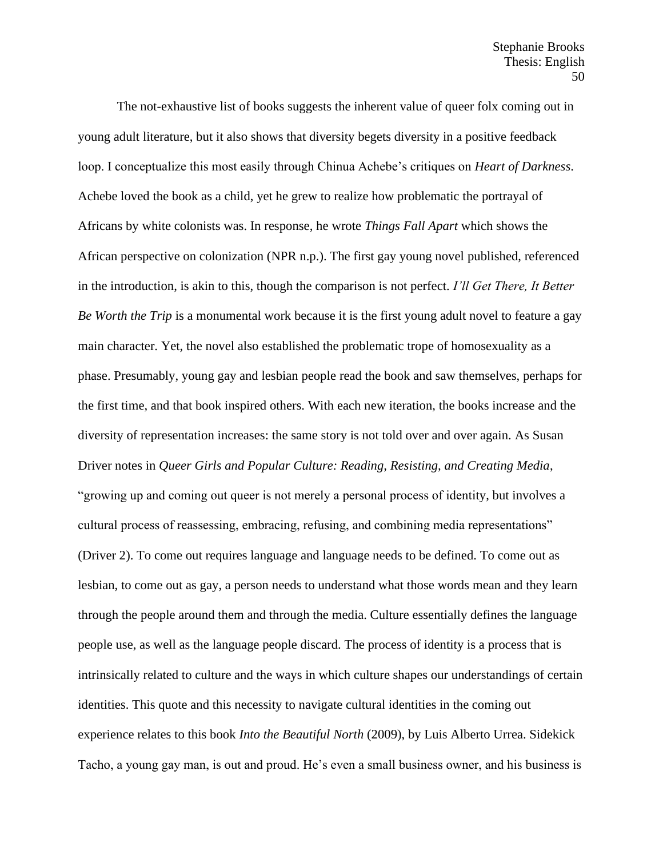The not-exhaustive list of books suggests the inherent value of queer folx coming out in young adult literature, but it also shows that diversity begets diversity in a positive feedback loop. I conceptualize this most easily through Chinua Achebe's critiques on *Heart of Darkness*. Achebe loved the book as a child, yet he grew to realize how problematic the portrayal of Africans by white colonists was. In response, he wrote *Things Fall Apart* which shows the African perspective on colonization (NPR n.p.). The first gay young novel published, referenced in the introduction, is akin to this, though the comparison is not perfect. *I'll Get There, It Better Be Worth the Trip* is a monumental work because it is the first young adult novel to feature a gay main character. Yet, the novel also established the problematic trope of homosexuality as a phase. Presumably, young gay and lesbian people read the book and saw themselves, perhaps for the first time, and that book inspired others. With each new iteration, the books increase and the diversity of representation increases: the same story is not told over and over again. As Susan Driver notes in *Queer Girls and Popular Culture: Reading, Resisting, and Creating Media*, "growing up and coming out queer is not merely a personal process of identity, but involves a cultural process of reassessing, embracing, refusing, and combining media representations" (Driver 2). To come out requires language and language needs to be defined. To come out as lesbian, to come out as gay, a person needs to understand what those words mean and they learn through the people around them and through the media. Culture essentially defines the language people use, as well as the language people discard. The process of identity is a process that is intrinsically related to culture and the ways in which culture shapes our understandings of certain identities. This quote and this necessity to navigate cultural identities in the coming out experience relates to this book *Into the Beautiful North* (2009), by Luis Alberto Urrea. Sidekick Tacho, a young gay man, is out and proud. He's even a small business owner, and his business is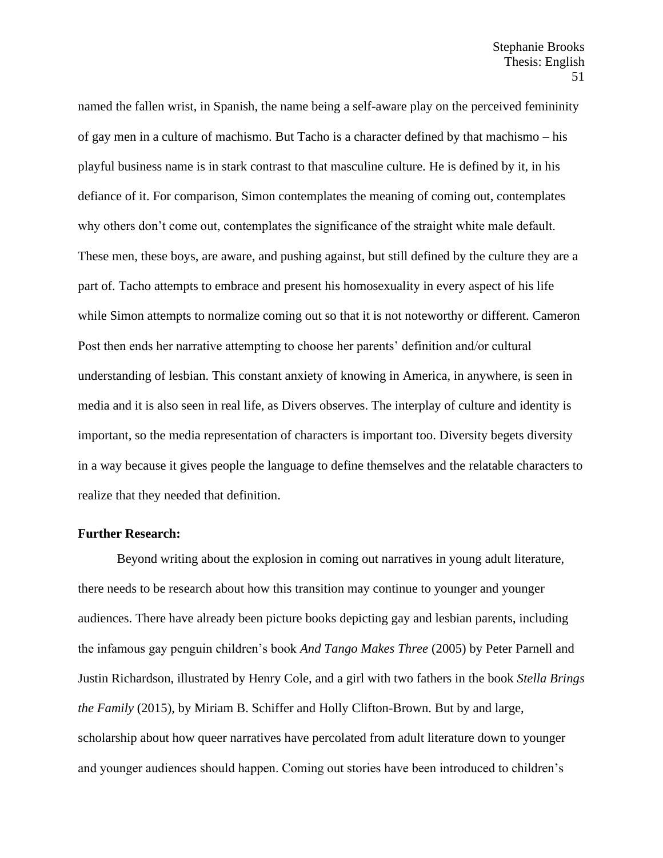named the fallen wrist, in Spanish, the name being a self-aware play on the perceived femininity of gay men in a culture of machismo. But Tacho is a character defined by that machismo – his playful business name is in stark contrast to that masculine culture. He is defined by it, in his defiance of it. For comparison, Simon contemplates the meaning of coming out, contemplates why others don't come out, contemplates the significance of the straight white male default. These men, these boys, are aware, and pushing against, but still defined by the culture they are a part of. Tacho attempts to embrace and present his homosexuality in every aspect of his life while Simon attempts to normalize coming out so that it is not noteworthy or different. Cameron Post then ends her narrative attempting to choose her parents' definition and/or cultural understanding of lesbian. This constant anxiety of knowing in America, in anywhere, is seen in media and it is also seen in real life, as Divers observes. The interplay of culture and identity is important, so the media representation of characters is important too. Diversity begets diversity in a way because it gives people the language to define themselves and the relatable characters to realize that they needed that definition.

# **Further Research:**

Beyond writing about the explosion in coming out narratives in young adult literature, there needs to be research about how this transition may continue to younger and younger audiences. There have already been picture books depicting gay and lesbian parents, including the infamous gay penguin children's book *And Tango Makes Three* (2005) by Peter Parnell and Justin Richardson, illustrated by Henry Cole, and a girl with two fathers in the book *Stella Brings the Family* (2015), by Miriam B. Schiffer and Holly Clifton-Brown. But by and large, scholarship about how queer narratives have percolated from adult literature down to younger and younger audiences should happen. Coming out stories have been introduced to children's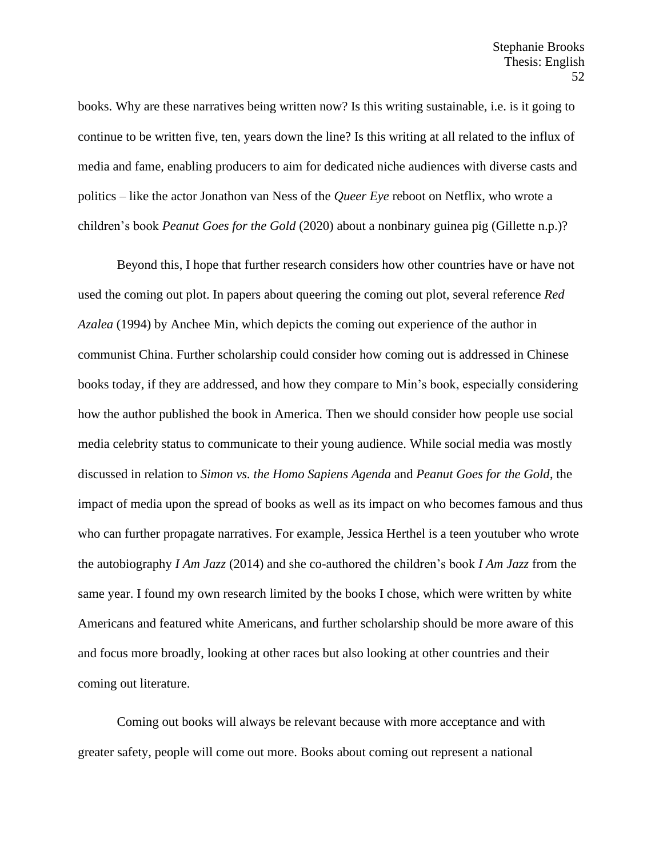books. Why are these narratives being written now? Is this writing sustainable, i.e. is it going to continue to be written five, ten, years down the line? Is this writing at all related to the influx of media and fame, enabling producers to aim for dedicated niche audiences with diverse casts and politics – like the actor Jonathon van Ness of the *Queer Eye* reboot on Netflix, who wrote a children's book *Peanut Goes for the Gold* (2020) about a nonbinary guinea pig (Gillette n.p.)?

Beyond this, I hope that further research considers how other countries have or have not used the coming out plot. In papers about queering the coming out plot, several reference *Red Azalea* (1994) by Anchee Min, which depicts the coming out experience of the author in communist China. Further scholarship could consider how coming out is addressed in Chinese books today, if they are addressed, and how they compare to Min's book, especially considering how the author published the book in America. Then we should consider how people use social media celebrity status to communicate to their young audience. While social media was mostly discussed in relation to *Simon vs. the Homo Sapiens Agenda* and *Peanut Goes for the Gold*, the impact of media upon the spread of books as well as its impact on who becomes famous and thus who can further propagate narratives. For example, Jessica Herthel is a teen youtuber who wrote the autobiography *I Am Jazz* (2014) and she co-authored the children's book *I Am Jazz* from the same year. I found my own research limited by the books I chose, which were written by white Americans and featured white Americans, and further scholarship should be more aware of this and focus more broadly, looking at other races but also looking at other countries and their coming out literature.

Coming out books will always be relevant because with more acceptance and with greater safety, people will come out more. Books about coming out represent a national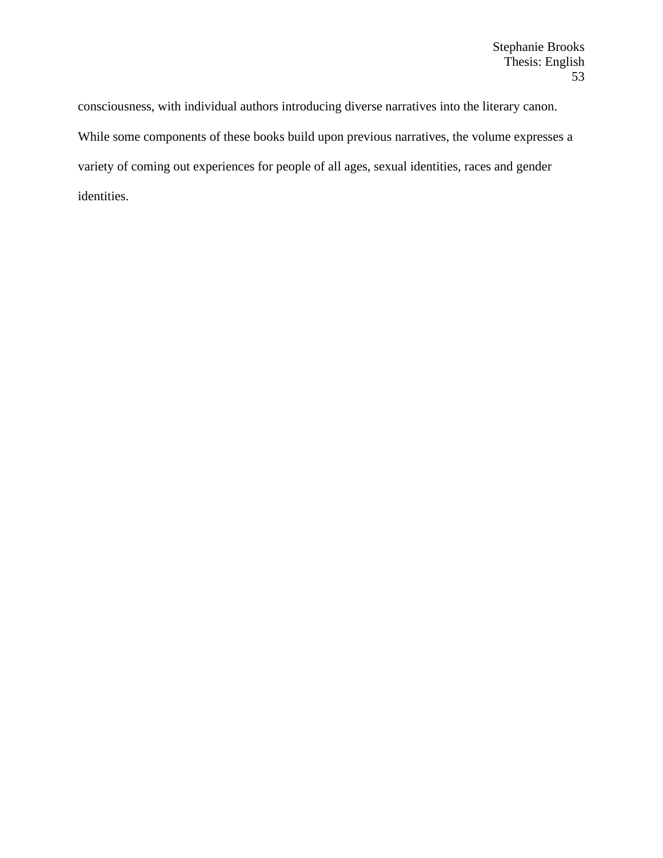consciousness, with individual authors introducing diverse narratives into the literary canon. While some components of these books build upon previous narratives, the volume expresses a variety of coming out experiences for people of all ages, sexual identities, races and gender identities.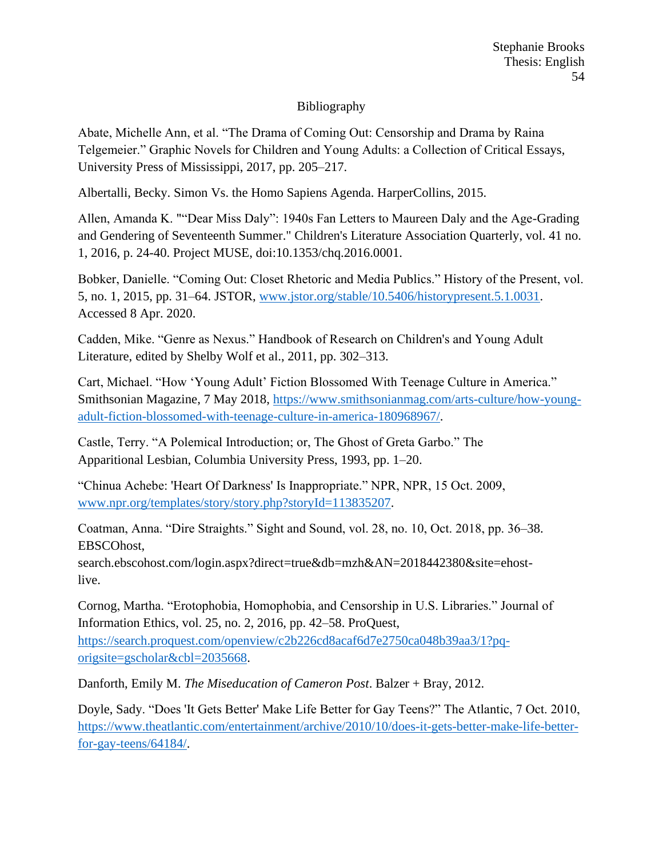# Bibliography

Abate, Michelle Ann, et al. "The Drama of Coming Out: Censorship and Drama by Raina Telgemeier." Graphic Novels for Children and Young Adults: a Collection of Critical Essays, University Press of Mississippi, 2017, pp. 205–217.

Albertalli, Becky. Simon Vs. the Homo Sapiens Agenda. HarperCollins, 2015.

Allen, Amanda K. ""Dear Miss Daly": 1940s Fan Letters to Maureen Daly and the Age-Grading and Gendering of Seventeenth Summer." Children's Literature Association Quarterly, vol. 41 no. 1, 2016, p. 24-40. Project MUSE, doi:10.1353/chq.2016.0001.

Bobker, Danielle. "Coming Out: Closet Rhetoric and Media Publics." History of the Present, vol. 5, no. 1, 2015, pp. 31–64. JSTOR, [www.jstor.org/stable/10.5406/historypresent.5.1.0031.](http://www.jstor.org/stable/10.5406/historypresent.5.1.0031) Accessed 8 Apr. 2020.

Cadden, Mike. "Genre as Nexus." Handbook of Research on Children's and Young Adult Literature, edited by Shelby Wolf et al., 2011, pp. 302–313.

Cart, Michael. "How 'Young Adult' Fiction Blossomed With Teenage Culture in America." Smithsonian Magazine, 7 May 2018, [https://www.smithsonianmag.com/arts-culture/how-young](https://www.smithsonianmag.com/arts-culture/how-young-adult-fiction-blossomed-with-teenage-culture-in-america-180968967/)[adult-fiction-blossomed-with-teenage-culture-in-america-180968967/.](https://www.smithsonianmag.com/arts-culture/how-young-adult-fiction-blossomed-with-teenage-culture-in-america-180968967/)

Castle, Terry. "A Polemical Introduction; or, The Ghost of Greta Garbo." The Apparitional Lesbian, Columbia University Press, 1993, pp. 1–20.

"Chinua Achebe: 'Heart Of Darkness' Is Inappropriate." NPR, NPR, 15 Oct. 2009, [www.npr.org/templates/story/story.php?storyId=113835207.](http://www.npr.org/templates/story/story.php?storyId=113835207)

Coatman, Anna. "Dire Straights." Sight and Sound, vol. 28, no. 10, Oct. 2018, pp. 36–38. EBSCOhost,

search.ebscohost.com/login.aspx?direct=true&db=mzh&AN=2018442380&site=ehostlive.

Cornog, Martha. "Erotophobia, Homophobia, and Censorship in U.S. Libraries." Journal of Information Ethics, vol. 25, no. 2, 2016, pp. 42–58. ProQuest, [https://search.proquest.com/openview/c2b226cd8acaf6d7e2750ca048b39aa3/1?pq](https://search.proquest.com/openview/c2b226cd8acaf6d7e2750ca048b39aa3/1?pq-origsite=gscholar&cbl=2035668)[origsite=gscholar&cbl=2035668.](https://search.proquest.com/openview/c2b226cd8acaf6d7e2750ca048b39aa3/1?pq-origsite=gscholar&cbl=2035668)

Danforth, Emily M. *The Miseducation of Cameron Post*. Balzer + Bray, 2012.

Doyle, Sady. "Does 'It Gets Better' Make Life Better for Gay Teens?" The Atlantic, 7 Oct. 2010, [https://www.theatlantic.com/entertainment/archive/2010/10/does-it-gets-better-make-life-better](https://www.theatlantic.com/entertainment/archive/2010/10/does-it-gets-better-make-life-better-for-gay-teens/64184/)[for-gay-teens/64184/.](https://www.theatlantic.com/entertainment/archive/2010/10/does-it-gets-better-make-life-better-for-gay-teens/64184/)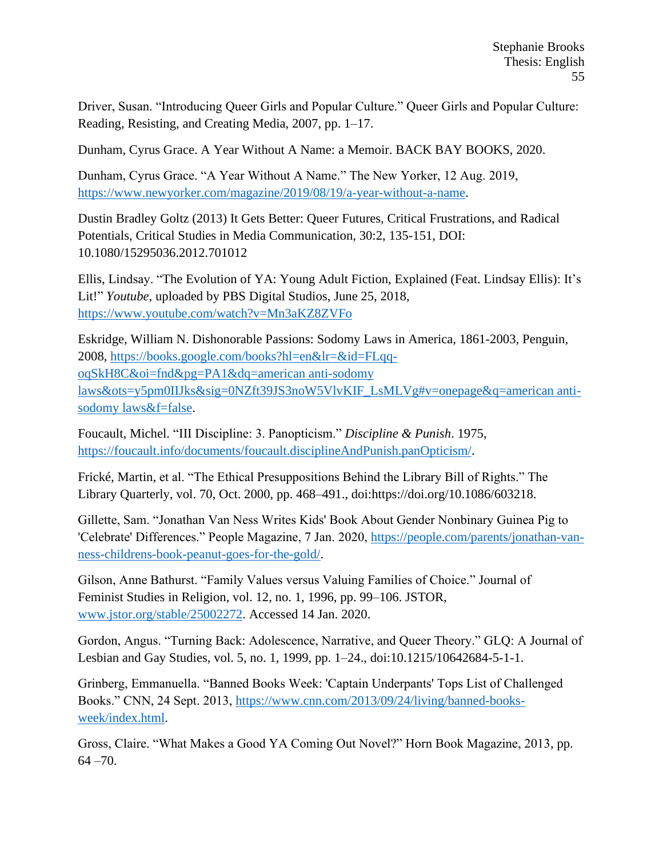Driver, Susan. "Introducing Queer Girls and Popular Culture." Queer Girls and Popular Culture: Reading, Resisting, and Creating Media, 2007, pp. 1–17.

Dunham, Cyrus Grace. A Year Without A Name: a Memoir. BACK BAY BOOKS, 2020.

Dunham, Cyrus Grace. "A Year Without A Name." The New Yorker, 12 Aug. 2019, [https://www.newyorker.com/magazine/2019/08/19/a-year-without-a-name.](https://www.newyorker.com/magazine/2019/08/19/a-year-without-a-name)

Dustin Bradley Goltz (2013) It Gets Better: Queer Futures, Critical Frustrations, and Radical Potentials, Critical Studies in Media Communication, 30:2, 135-151, DOI: 10.1080/15295036.2012.701012

Ellis, Lindsay. "The Evolution of YA: Young Adult Fiction, Explained (Feat. Lindsay Ellis): It's Lit!" *Youtube*, uploaded by PBS Digital Studios, June 25, 2018, <https://www.youtube.com/watch?v=Mn3aKZ8ZVFo>

Eskridge, William N. Dishonorable Passions: Sodomy Laws in America, 1861-2003, Penguin, 2008, [https://books.google.com/books?hl=en&lr=&id=FLqq](https://books.google.com/books?hl=en&lr=&id=FLqq-oqSkH8C&oi=fnd&pg=PA1&dq=american%20anti-sodomy%20laws&ots=y5pm0IIJks&sig=0NZft39JS3noW5VlvKIF_LsMLVg%23v=onepage&q=american%20anti-sodomy%20laws&f=false)[oqSkH8C&oi=fnd&pg=PA1&dq=american anti-sodomy](https://books.google.com/books?hl=en&lr=&id=FLqq-oqSkH8C&oi=fnd&pg=PA1&dq=american%20anti-sodomy%20laws&ots=y5pm0IIJks&sig=0NZft39JS3noW5VlvKIF_LsMLVg%23v=onepage&q=american%20anti-sodomy%20laws&f=false)  [laws&ots=y5pm0IIJks&sig=0NZft39JS3noW5VlvKIF\\_LsMLVg#v=onepage&q=american anti](https://books.google.com/books?hl=en&lr=&id=FLqq-oqSkH8C&oi=fnd&pg=PA1&dq=american%20anti-sodomy%20laws&ots=y5pm0IIJks&sig=0NZft39JS3noW5VlvKIF_LsMLVg%23v=onepage&q=american%20anti-sodomy%20laws&f=false)[sodomy laws&f=false.](https://books.google.com/books?hl=en&lr=&id=FLqq-oqSkH8C&oi=fnd&pg=PA1&dq=american%20anti-sodomy%20laws&ots=y5pm0IIJks&sig=0NZft39JS3noW5VlvKIF_LsMLVg%23v=onepage&q=american%20anti-sodomy%20laws&f=false)

Foucault, Michel. "III Discipline: 3. Panopticism." *Discipline & Punish*. 1975, [https://foucault.info/documents/foucault.disciplineAndPunish.panOpticism/.](https://foucault.info/documents/foucault.disciplineAndPunish.panOpticism/)

Frické, Martin, et al. "The Ethical Presuppositions Behind the Library Bill of Rights." The Library Quarterly, vol. 70, Oct. 2000, pp. 468–491., doi:https://doi.org/10.1086/603218.

Gillette, Sam. "Jonathan Van Ness Writes Kids' Book About Gender Nonbinary Guinea Pig to 'Celebrate' Differences." People Magazine, 7 Jan. 2020, [https://people.com/parents/jonathan-van](https://people.com/parents/jonathan-van-ness-childrens-book-peanut-goes-for-the-gold/)[ness-childrens-book-peanut-goes-for-the-gold/.](https://people.com/parents/jonathan-van-ness-childrens-book-peanut-goes-for-the-gold/)

Gilson, Anne Bathurst. "Family Values versus Valuing Families of Choice." Journal of Feminist Studies in Religion, vol. 12, no. 1, 1996, pp. 99–106. JSTOR, [www.jstor.org/stable/25002272.](http://www.jstor.org/stable/25002272) Accessed 14 Jan. 2020.

Gordon, Angus. "Turning Back: Adolescence, Narrative, and Queer Theory." GLQ: A Journal of Lesbian and Gay Studies, vol. 5, no. 1, 1999, pp. 1–24., doi:10.1215/10642684-5-1-1.

Grinberg, Emmanuella. "Banned Books Week: 'Captain Underpants' Tops List of Challenged Books." CNN, 24 Sept. 2013, [https://www.cnn.com/2013/09/24/living/banned-books](https://www.cnn.com/2013/09/24/living/banned-books-week/index.html)[week/index.html.](https://www.cnn.com/2013/09/24/living/banned-books-week/index.html)

Gross, Claire. "What Makes a Good YA Coming Out Novel?" Horn Book Magazine, 2013, pp.  $64 - 70.$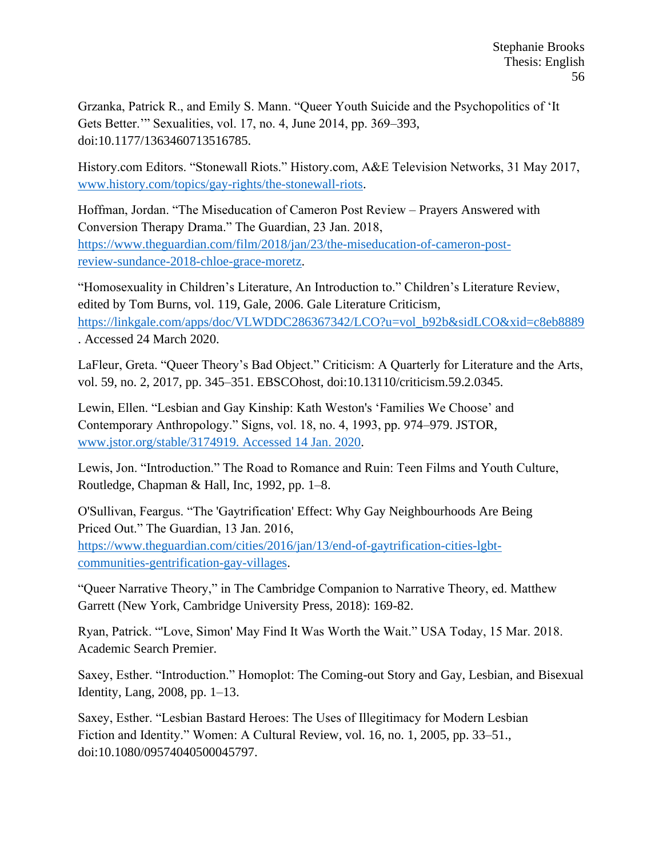Grzanka, Patrick R., and Emily S. Mann. "Queer Youth Suicide and the Psychopolitics of 'It Gets Better.'" Sexualities, vol. 17, no. 4, June 2014, pp. 369–393, doi:10.1177/1363460713516785.

History.com Editors. "Stonewall Riots." History.com, A&E Television Networks, 31 May 2017, [www.history.com/topics/gay-rights/the-stonewall-riots.](http://www.history.com/topics/gay-rights/the-stonewall-riots)

Hoffman, Jordan. "The Miseducation of Cameron Post Review – Prayers Answered with Conversion Therapy Drama." The Guardian, 23 Jan. 2018, [https://www.theguardian.com/film/2018/jan/23/the-miseducation-of-cameron-post](https://www.theguardian.com/film/2018/jan/23/the-miseducation-of-cameron-post-review-sundance-2018-chloe-grace-moretz)[review-sundance-2018-chloe-grace-moretz.](https://www.theguardian.com/film/2018/jan/23/the-miseducation-of-cameron-post-review-sundance-2018-chloe-grace-moretz)

"Homosexuality in Children's Literature, An Introduction to." Children's Literature Review, edited by Tom Burns, vol. 119, Gale, 2006. Gale Literature Criticism, [https://linkgale.com/apps/doc/VLWDDC286367342/LCO?u=vol\\_b92b&sidLCO&xid=c8eb8889](https://linkgale.com/apps/doc/VLWDDC286367342/LCO?u=vol_b92b&sidLCO&xid=c8eb8889) . Accessed 24 March 2020.

LaFleur, Greta. "Queer Theory's Bad Object." Criticism: A Quarterly for Literature and the Arts, vol. 59, no. 2, 2017, pp. 345–351. EBSCOhost, doi:10.13110/criticism.59.2.0345.

Lewin, Ellen. "Lesbian and Gay Kinship: Kath Weston's 'Families We Choose' and Contemporary Anthropology." Signs, vol. 18, no. 4, 1993, pp. 974–979. JSTOR, [www.jstor.org/stable/3174919. Accessed 14 Jan. 2020.](http://www.jstor.org/stable/3174919.%20Accessed%2014%20Jan.%202020)

Lewis, Jon. "Introduction." The Road to Romance and Ruin: Teen Films and Youth Culture, Routledge, Chapman & Hall, Inc, 1992, pp. 1–8.

O'Sullivan, Feargus. "The 'Gaytrification' Effect: Why Gay Neighbourhoods Are Being Priced Out." The Guardian, 13 Jan. 2016, [https://www.theguardian.com/cities/2016/jan/13/end-of-gaytrification-cities-lgbt](https://www.theguardian.com/cities/2016/jan/13/end-of-gaytrification-cities-lgbt-communities-gentrification-gay-villages)[communities-gentrification-gay-villages.](https://www.theguardian.com/cities/2016/jan/13/end-of-gaytrification-cities-lgbt-communities-gentrification-gay-villages)

"Queer Narrative Theory," in The Cambridge Companion to Narrative Theory, ed. Matthew Garrett (New York, Cambridge University Press, 2018): 169-82.

Ryan, Patrick. "'Love, Simon' May Find It Was Worth the Wait." USA Today, 15 Mar. 2018. Academic Search Premier.

Saxey, Esther. "Introduction." Homoplot: The Coming-out Story and Gay, Lesbian, and Bisexual Identity, Lang, 2008, pp. 1–13.

Saxey, Esther. "Lesbian Bastard Heroes: The Uses of Illegitimacy for Modern Lesbian Fiction and Identity." Women: A Cultural Review, vol. 16, no. 1, 2005, pp. 33–51., doi:10.1080/09574040500045797.